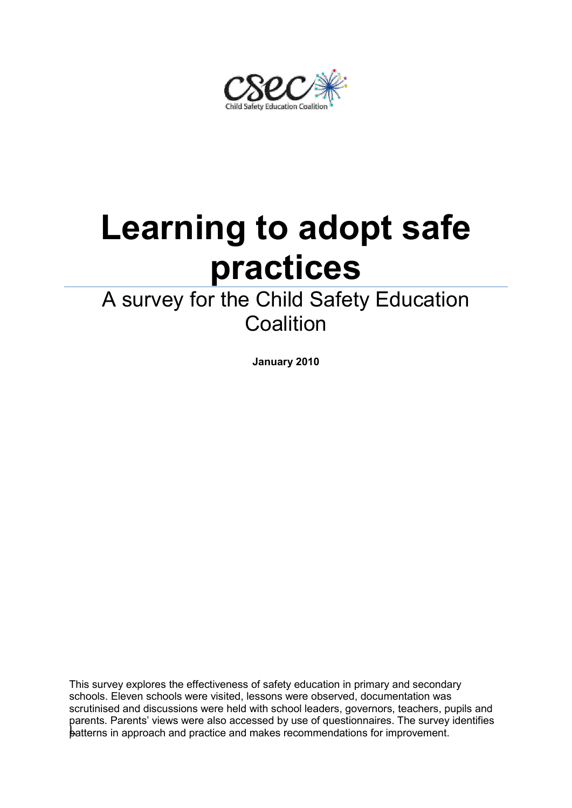ìafety Education Coa

# **Learning to adopt safe practices**

# A survey for the Child Safety Education **Coalition**

**January 2010**

patterns in approach and practice and makes recommendations for improvement. This survey explores the effectiveness of safety education in primary and secondary schools. Eleven schools were visited, lessons were observed, documentation was scrutinised and discussions were held with school leaders, governors, teachers, pupils and parents. Parents' views were also accessed by use of questionnaires. The survey identifies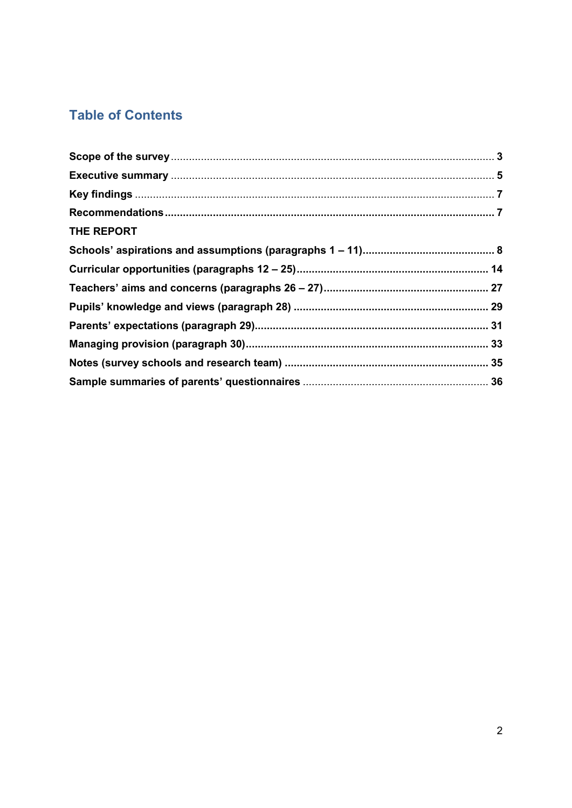# **Table of Contents**

| THE REPORT |  |
|------------|--|
|            |  |
|            |  |
|            |  |
|            |  |
|            |  |
|            |  |
|            |  |
|            |  |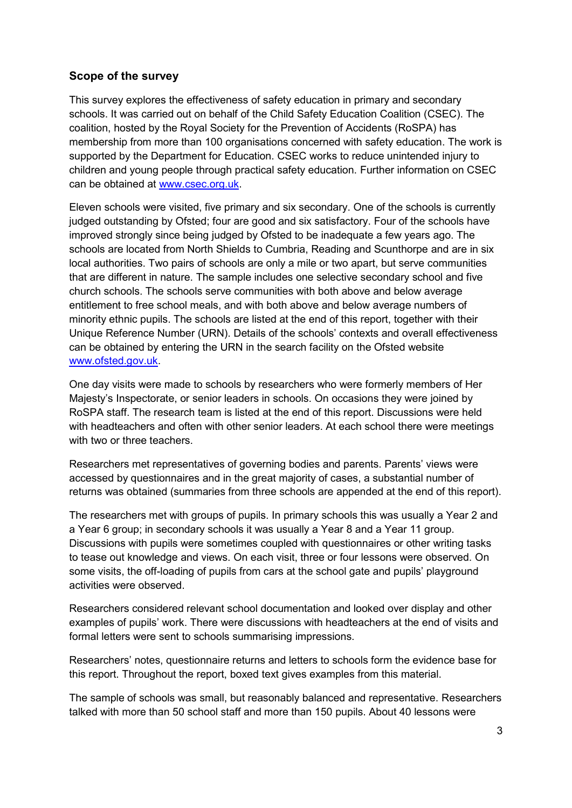#### **Scope of the survey**

This survey explores the effectiveness of safety education in primary and secondary schools. It was carried out on behalf of the Child Safety Education Coalition (CSEC). The coalition, hosted by the Royal Society for the Prevention of Accidents (RoSPA) has membership from more than 100 organisations concerned with safety education. The work is supported by the Department for Education. CSEC works to reduce unintended injury to children and young people through practical safety education. Further information on CSEC can be obtained at [www.csec.org.uk.](http://www.csec.org.uk/)

Eleven schools were visited, five primary and six secondary. One of the schools is currently judged outstanding by Ofsted; four are good and six satisfactory. Four of the schools have improved strongly since being judged by Ofsted to be inadequate a few years ago. The schools are located from North Shields to Cumbria, Reading and Scunthorpe and are in six local authorities. Two pairs of schools are only a mile or two apart, but serve communities that are different in nature. The sample includes one selective secondary school and five church schools. The schools serve communities with both above and below average entitlement to free school meals, and with both above and below average numbers of minority ethnic pupils. The schools are listed at the end of this report, together with their Unique Reference Number (URN). Details of the schools" contexts and overall effectiveness can be obtained by entering the URN in the search facility on the Ofsted website [www.ofsted.gov.uk.](http://www.ofsted.gov.uk/)

One day visits were made to schools by researchers who were formerly members of Her Majesty"s Inspectorate, or senior leaders in schools. On occasions they were joined by RoSPA staff. The research team is listed at the end of this report. Discussions were held with headteachers and often with other senior leaders. At each school there were meetings with two or three teachers.

Researchers met representatives of governing bodies and parents. Parents' views were accessed by questionnaires and in the great majority of cases, a substantial number of returns was obtained (summaries from three schools are appended at the end of this report).

The researchers met with groups of pupils. In primary schools this was usually a Year 2 and a Year 6 group; in secondary schools it was usually a Year 8 and a Year 11 group. Discussions with pupils were sometimes coupled with questionnaires or other writing tasks to tease out knowledge and views. On each visit, three or four lessons were observed. On some visits, the off-loading of pupils from cars at the school gate and pupils" playground activities were observed.

Researchers considered relevant school documentation and looked over display and other examples of pupils' work. There were discussions with headteachers at the end of visits and formal letters were sent to schools summarising impressions.

Researchers" notes, questionnaire returns and letters to schools form the evidence base for this report. Throughout the report, boxed text gives examples from this material.

The sample of schools was small, but reasonably balanced and representative. Researchers talked with more than 50 school staff and more than 150 pupils. About 40 lessons were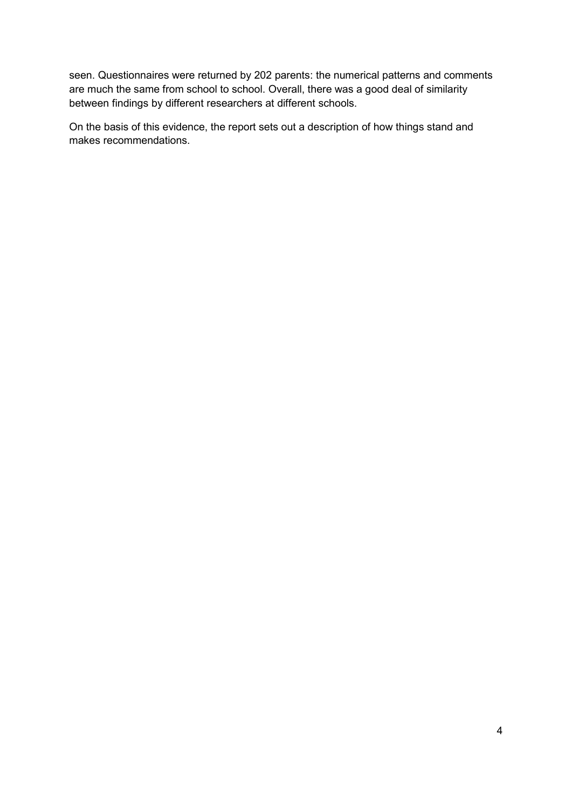seen. Questionnaires were returned by 202 parents: the numerical patterns and comments are much the same from school to school. Overall, there was a good deal of similarity between findings by different researchers at different schools.

On the basis of this evidence, the report sets out a description of how things stand and makes recommendations.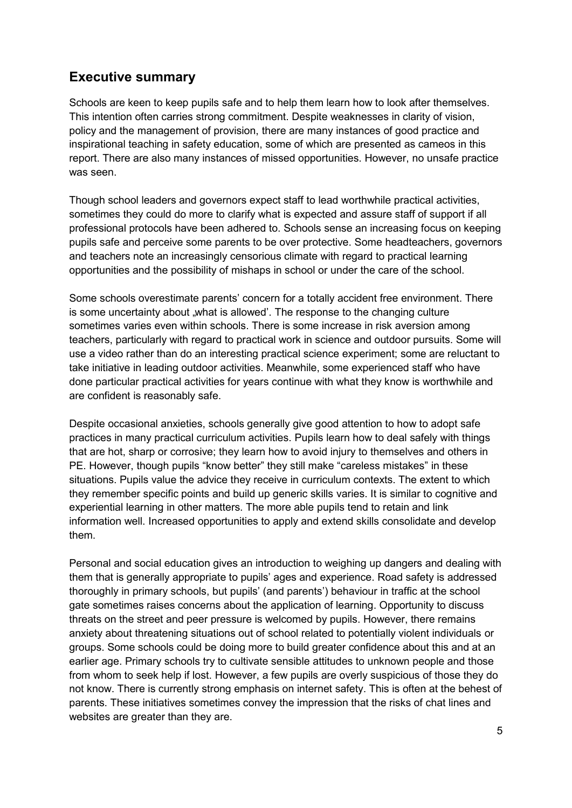### **Executive summary**

Schools are keen to keep pupils safe and to help them learn how to look after themselves. This intention often carries strong commitment. Despite weaknesses in clarity of vision, policy and the management of provision, there are many instances of good practice and inspirational teaching in safety education, some of which are presented as cameos in this report. There are also many instances of missed opportunities. However, no unsafe practice was seen.

Though school leaders and governors expect staff to lead worthwhile practical activities, sometimes they could do more to clarify what is expected and assure staff of support if all professional protocols have been adhered to. Schools sense an increasing focus on keeping pupils safe and perceive some parents to be over protective. Some headteachers, governors and teachers note an increasingly censorious climate with regard to practical learning opportunities and the possibility of mishaps in school or under the care of the school.

Some schools overestimate parents" concern for a totally accident free environment. There is some uncertainty about "what is allowed". The response to the changing culture sometimes varies even within schools. There is some increase in risk aversion among teachers, particularly with regard to practical work in science and outdoor pursuits. Some will use a video rather than do an interesting practical science experiment; some are reluctant to take initiative in leading outdoor activities. Meanwhile, some experienced staff who have done particular practical activities for years continue with what they know is worthwhile and are confident is reasonably safe.

Despite occasional anxieties, schools generally give good attention to how to adopt safe practices in many practical curriculum activities. Pupils learn how to deal safely with things that are hot, sharp or corrosive; they learn how to avoid injury to themselves and others in PE. However, though pupils "know better" they still make "careless mistakes" in these situations. Pupils value the advice they receive in curriculum contexts. The extent to which they remember specific points and build up generic skills varies. It is similar to cognitive and experiential learning in other matters. The more able pupils tend to retain and link information well. Increased opportunities to apply and extend skills consolidate and develop them.

Personal and social education gives an introduction to weighing up dangers and dealing with them that is generally appropriate to pupils" ages and experience. Road safety is addressed thoroughly in primary schools, but pupils" (and parents") behaviour in traffic at the school gate sometimes raises concerns about the application of learning. Opportunity to discuss threats on the street and peer pressure is welcomed by pupils. However, there remains anxiety about threatening situations out of school related to potentially violent individuals or groups. Some schools could be doing more to build greater confidence about this and at an earlier age. Primary schools try to cultivate sensible attitudes to unknown people and those from whom to seek help if lost. However, a few pupils are overly suspicious of those they do not know. There is currently strong emphasis on internet safety. This is often at the behest of parents. These initiatives sometimes convey the impression that the risks of chat lines and websites are greater than they are.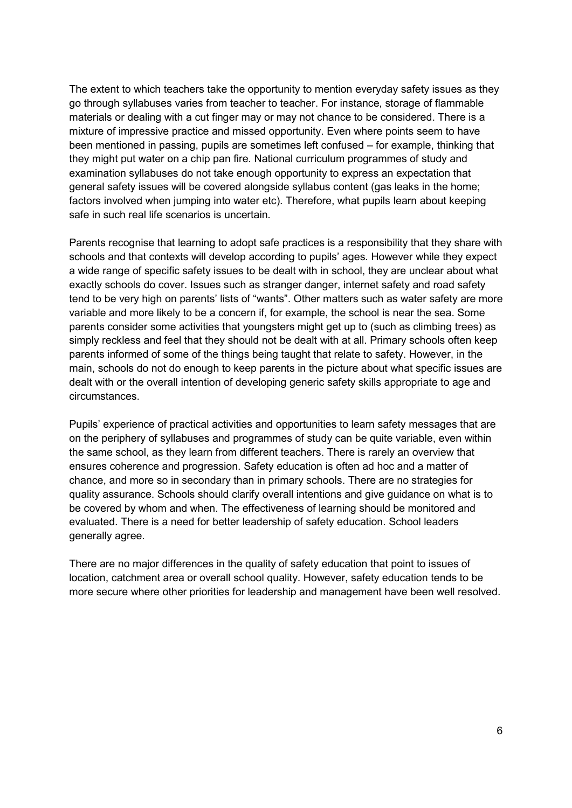The extent to which teachers take the opportunity to mention everyday safety issues as they go through syllabuses varies from teacher to teacher. For instance, storage of flammable materials or dealing with a cut finger may or may not chance to be considered. There is a mixture of impressive practice and missed opportunity. Even where points seem to have been mentioned in passing, pupils are sometimes left confused – for example, thinking that they might put water on a chip pan fire. National curriculum programmes of study and examination syllabuses do not take enough opportunity to express an expectation that general safety issues will be covered alongside syllabus content (gas leaks in the home; factors involved when jumping into water etc). Therefore, what pupils learn about keeping safe in such real life scenarios is uncertain.

Parents recognise that learning to adopt safe practices is a responsibility that they share with schools and that contexts will develop according to pupils" ages. However while they expect a wide range of specific safety issues to be dealt with in school, they are unclear about what exactly schools do cover. Issues such as stranger danger, internet safety and road safety tend to be very high on parents' lists of "wants". Other matters such as water safety are more variable and more likely to be a concern if, for example, the school is near the sea. Some parents consider some activities that youngsters might get up to (such as climbing trees) as simply reckless and feel that they should not be dealt with at all. Primary schools often keep parents informed of some of the things being taught that relate to safety. However, in the main, schools do not do enough to keep parents in the picture about what specific issues are dealt with or the overall intention of developing generic safety skills appropriate to age and circumstances.

Pupils" experience of practical activities and opportunities to learn safety messages that are on the periphery of syllabuses and programmes of study can be quite variable, even within the same school, as they learn from different teachers. There is rarely an overview that ensures coherence and progression. Safety education is often ad hoc and a matter of chance, and more so in secondary than in primary schools. There are no strategies for quality assurance. Schools should clarify overall intentions and give guidance on what is to be covered by whom and when. The effectiveness of learning should be monitored and evaluated. There is a need for better leadership of safety education. School leaders generally agree.

There are no major differences in the quality of safety education that point to issues of location, catchment area or overall school quality. However, safety education tends to be more secure where other priorities for leadership and management have been well resolved.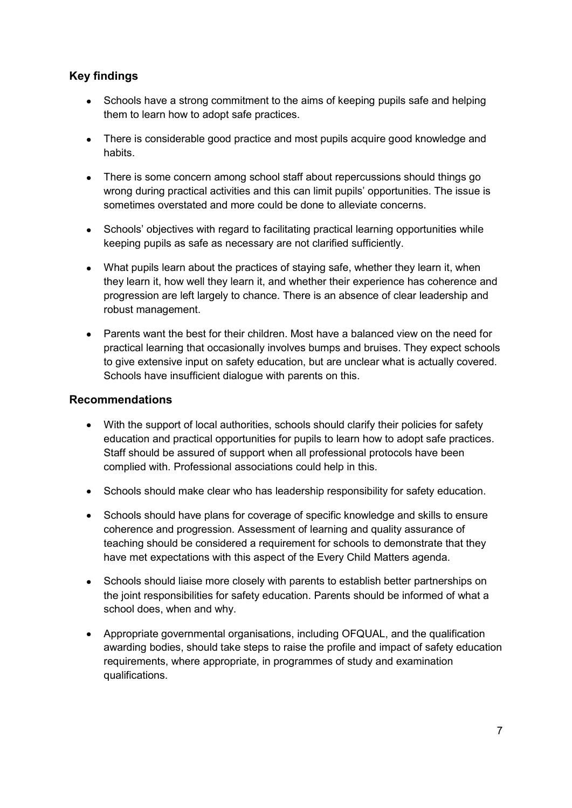#### **Key findings**

- Schools have a strong commitment to the aims of keeping pupils safe and helping them to learn how to adopt safe practices.
- There is considerable good practice and most pupils acquire good knowledge and habits.
- There is some concern among school staff about repercussions should things go wrong during practical activities and this can limit pupils" opportunities. The issue is sometimes overstated and more could be done to alleviate concerns.
- Schools' objectives with regard to facilitating practical learning opportunities while keeping pupils as safe as necessary are not clarified sufficiently.
- What pupils learn about the practices of staying safe, whether they learn it, when they learn it, how well they learn it, and whether their experience has coherence and progression are left largely to chance. There is an absence of clear leadership and robust management.
- Parents want the best for their children. Most have a balanced view on the need for practical learning that occasionally involves bumps and bruises. They expect schools to give extensive input on safety education, but are unclear what is actually covered. Schools have insufficient dialogue with parents on this.

#### **Recommendations**

- With the support of local authorities, schools should clarify their policies for safety education and practical opportunities for pupils to learn how to adopt safe practices. Staff should be assured of support when all professional protocols have been complied with. Professional associations could help in this.
- Schools should make clear who has leadership responsibility for safety education.
- Schools should have plans for coverage of specific knowledge and skills to ensure coherence and progression. Assessment of learning and quality assurance of teaching should be considered a requirement for schools to demonstrate that they have met expectations with this aspect of the Every Child Matters agenda.
- Schools should liaise more closely with parents to establish better partnerships on the joint responsibilities for safety education. Parents should be informed of what a school does, when and why.
- Appropriate governmental organisations, including OFQUAL, and the qualification awarding bodies, should take steps to raise the profile and impact of safety education requirements, where appropriate, in programmes of study and examination qualifications.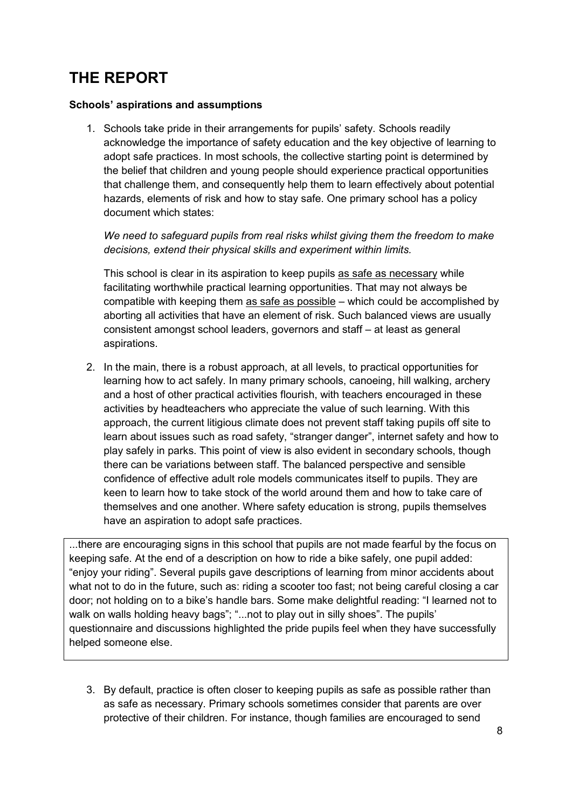# **THE REPORT**

#### **Schools' aspirations and assumptions**

1. Schools take pride in their arrangements for pupils" safety. Schools readily acknowledge the importance of safety education and the key objective of learning to adopt safe practices. In most schools, the collective starting point is determined by the belief that children and young people should experience practical opportunities that challenge them, and consequently help them to learn effectively about potential hazards, elements of risk and how to stay safe. One primary school has a policy document which states:

*We need to safeguard pupils from real risks whilst giving them the freedom to make decisions, extend their physical skills and experiment within limits.* 

This school is clear in its aspiration to keep pupils as safe as necessary while facilitating worthwhile practical learning opportunities. That may not always be compatible with keeping them as safe as possible – which could be accomplished by aborting all activities that have an element of risk. Such balanced views are usually consistent amongst school leaders, governors and staff – at least as general aspirations.

2. In the main, there is a robust approach, at all levels, to practical opportunities for learning how to act safely. In many primary schools, canoeing, hill walking, archery and a host of other practical activities flourish, with teachers encouraged in these activities by headteachers who appreciate the value of such learning. With this approach, the current litigious climate does not prevent staff taking pupils off site to learn about issues such as road safety, "stranger danger", internet safety and how to play safely in parks. This point of view is also evident in secondary schools, though there can be variations between staff. The balanced perspective and sensible confidence of effective adult role models communicates itself to pupils. They are keen to learn how to take stock of the world around them and how to take care of themselves and one another. Where safety education is strong, pupils themselves have an aspiration to adopt safe practices.

...there are encouraging signs in this school that pupils are not made fearful by the focus on keeping safe. At the end of a description on how to ride a bike safely, one pupil added: "enjoy your riding". Several pupils gave descriptions of learning from minor accidents about what not to do in the future, such as: riding a scooter too fast; not being careful closing a car door; not holding on to a bike"s handle bars. Some make delightful reading: "I learned not to walk on walls holding heavy bags"; "...not to play out in silly shoes". The pupils' questionnaire and discussions highlighted the pride pupils feel when they have successfully helped someone else.

3. By default, practice is often closer to keeping pupils as safe as possible rather than as safe as necessary. Primary schools sometimes consider that parents are over protective of their children. For instance, though families are encouraged to send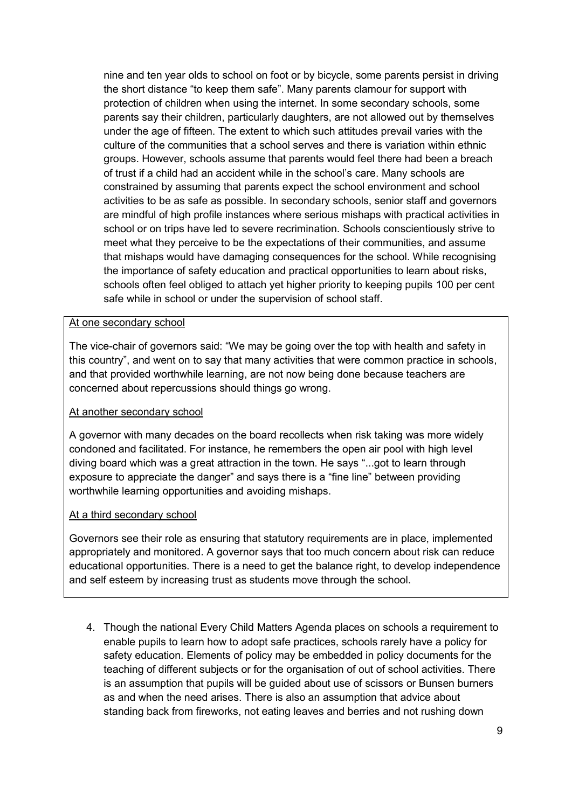nine and ten year olds to school on foot or by bicycle, some parents persist in driving the short distance "to keep them safe". Many parents clamour for support with protection of children when using the internet. In some secondary schools, some parents say their children, particularly daughters, are not allowed out by themselves under the age of fifteen. The extent to which such attitudes prevail varies with the culture of the communities that a school serves and there is variation within ethnic groups. However, schools assume that parents would feel there had been a breach of trust if a child had an accident while in the school"s care. Many schools are constrained by assuming that parents expect the school environment and school activities to be as safe as possible. In secondary schools, senior staff and governors are mindful of high profile instances where serious mishaps with practical activities in school or on trips have led to severe recrimination. Schools conscientiously strive to meet what they perceive to be the expectations of their communities, and assume that mishaps would have damaging consequences for the school. While recognising the importance of safety education and practical opportunities to learn about risks, schools often feel obliged to attach yet higher priority to keeping pupils 100 per cent safe while in school or under the supervision of school staff.

#### At one secondary school

The vice-chair of governors said: "We may be going over the top with health and safety in this country", and went on to say that many activities that were common practice in schools, and that provided worthwhile learning, are not now being done because teachers are concerned about repercussions should things go wrong.

#### At another secondary school

A governor with many decades on the board recollects when risk taking was more widely condoned and facilitated. For instance, he remembers the open air pool with high level diving board which was a great attraction in the town. He says "...got to learn through exposure to appreciate the danger" and says there is a "fine line" between providing worthwhile learning opportunities and avoiding mishaps.

#### At a third secondary school

Governors see their role as ensuring that statutory requirements are in place, implemented appropriately and monitored. A governor says that too much concern about risk can reduce educational opportunities. There is a need to get the balance right, to develop independence and self esteem by increasing trust as students move through the school.

4. Though the national Every Child Matters Agenda places on schools a requirement to enable pupils to learn how to adopt safe practices, schools rarely have a policy for safety education. Elements of policy may be embedded in policy documents for the teaching of different subjects or for the organisation of out of school activities. There is an assumption that pupils will be guided about use of scissors or Bunsen burners as and when the need arises. There is also an assumption that advice about standing back from fireworks, not eating leaves and berries and not rushing down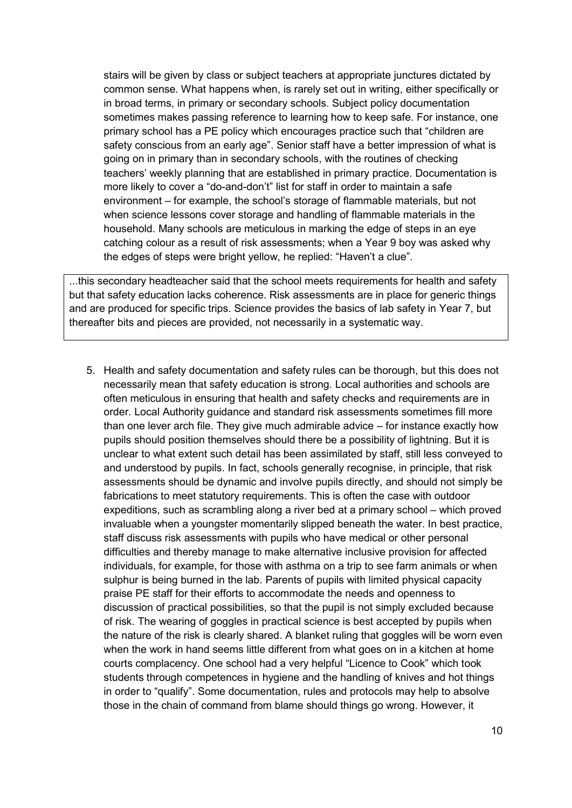stairs will be given by class or subject teachers at appropriate junctures dictated by common sense. What happens when, is rarely set out in writing, either specifically or in broad terms, in primary or secondary schools. Subject policy documentation sometimes makes passing reference to learning how to keep safe. For instance, one primary school has a PE policy which encourages practice such that "children are safety conscious from an early age". Senior staff have a better impression of what is going on in primary than in secondary schools, with the routines of checking teachers" weekly planning that are established in primary practice. Documentation is more likely to cover a "do-and-don"t" list for staff in order to maintain a safe environment – for example, the school"s storage of flammable materials, but not when science lessons cover storage and handling of flammable materials in the household. Many schools are meticulous in marking the edge of steps in an eye catching colour as a result of risk assessments; when a Year 9 boy was asked why the edges of steps were bright yellow, he replied: "Haven't a clue".

...this secondary headteacher said that the school meets requirements for health and safety but that safety education lacks coherence. Risk assessments are in place for generic things and are produced for specific trips. Science provides the basics of lab safety in Year 7, but thereafter bits and pieces are provided, not necessarily in a systematic way.

5. Health and safety documentation and safety rules can be thorough, but this does not necessarily mean that safety education is strong. Local authorities and schools are often meticulous in ensuring that health and safety checks and requirements are in order. Local Authority guidance and standard risk assessments sometimes fill more than one lever arch file. They give much admirable advice – for instance exactly how pupils should position themselves should there be a possibility of lightning. But it is unclear to what extent such detail has been assimilated by staff, still less conveyed to and understood by pupils. In fact, schools generally recognise, in principle, that risk assessments should be dynamic and involve pupils directly, and should not simply be fabrications to meet statutory requirements. This is often the case with outdoor expeditions, such as scrambling along a river bed at a primary school – which proved invaluable when a youngster momentarily slipped beneath the water. In best practice, staff discuss risk assessments with pupils who have medical or other personal difficulties and thereby manage to make alternative inclusive provision for affected individuals, for example, for those with asthma on a trip to see farm animals or when sulphur is being burned in the lab. Parents of pupils with limited physical capacity praise PE staff for their efforts to accommodate the needs and openness to discussion of practical possibilities, so that the pupil is not simply excluded because of risk. The wearing of goggles in practical science is best accepted by pupils when the nature of the risk is clearly shared. A blanket ruling that goggles will be worn even when the work in hand seems little different from what goes on in a kitchen at home courts complacency. One school had a very helpful "Licence to Cook" which took students through competences in hygiene and the handling of knives and hot things in order to "qualify". Some documentation, rules and protocols may help to absolve those in the chain of command from blame should things go wrong. However, it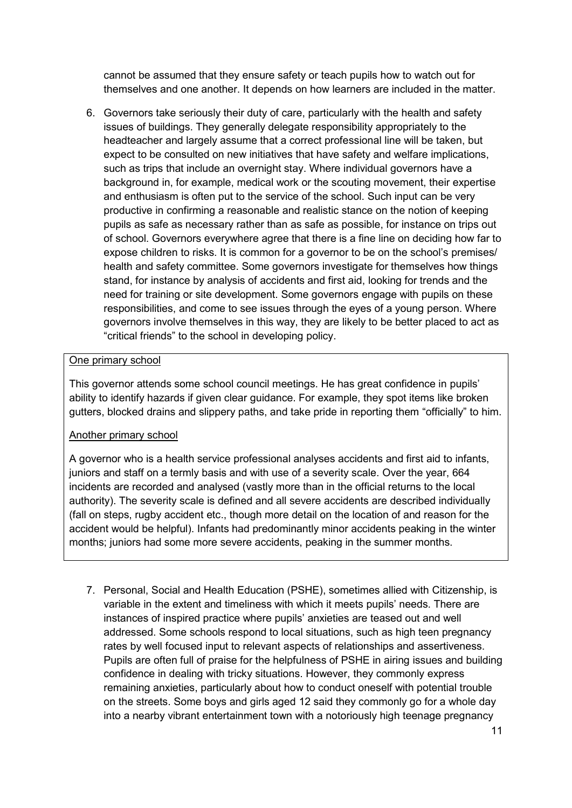cannot be assumed that they ensure safety or teach pupils how to watch out for themselves and one another. It depends on how learners are included in the matter.

6. Governors take seriously their duty of care, particularly with the health and safety issues of buildings. They generally delegate responsibility appropriately to the headteacher and largely assume that a correct professional line will be taken, but expect to be consulted on new initiatives that have safety and welfare implications, such as trips that include an overnight stay. Where individual governors have a background in, for example, medical work or the scouting movement, their expertise and enthusiasm is often put to the service of the school. Such input can be very productive in confirming a reasonable and realistic stance on the notion of keeping pupils as safe as necessary rather than as safe as possible, for instance on trips out of school. Governors everywhere agree that there is a fine line on deciding how far to expose children to risks. It is common for a governor to be on the school's premises/ health and safety committee. Some governors investigate for themselves how things stand, for instance by analysis of accidents and first aid, looking for trends and the need for training or site development. Some governors engage with pupils on these responsibilities, and come to see issues through the eyes of a young person. Where governors involve themselves in this way, they are likely to be better placed to act as "critical friends" to the school in developing policy.

#### One primary school

This governor attends some school council meetings. He has great confidence in pupils" ability to identify hazards if given clear guidance. For example, they spot items like broken gutters, blocked drains and slippery paths, and take pride in reporting them "officially" to him.

#### Another primary school

A governor who is a health service professional analyses accidents and first aid to infants, juniors and staff on a termly basis and with use of a severity scale. Over the year, 664 incidents are recorded and analysed (vastly more than in the official returns to the local authority). The severity scale is defined and all severe accidents are described individually (fall on steps, rugby accident etc., though more detail on the location of and reason for the accident would be helpful). Infants had predominantly minor accidents peaking in the winter months; juniors had some more severe accidents, peaking in the summer months.

7. Personal, Social and Health Education (PSHE), sometimes allied with Citizenship, is variable in the extent and timeliness with which it meets pupils" needs. There are instances of inspired practice where pupils" anxieties are teased out and well addressed. Some schools respond to local situations, such as high teen pregnancy rates by well focused input to relevant aspects of relationships and assertiveness. Pupils are often full of praise for the helpfulness of PSHE in airing issues and building confidence in dealing with tricky situations. However, they commonly express remaining anxieties, particularly about how to conduct oneself with potential trouble on the streets. Some boys and girls aged 12 said they commonly go for a whole day into a nearby vibrant entertainment town with a notoriously high teenage pregnancy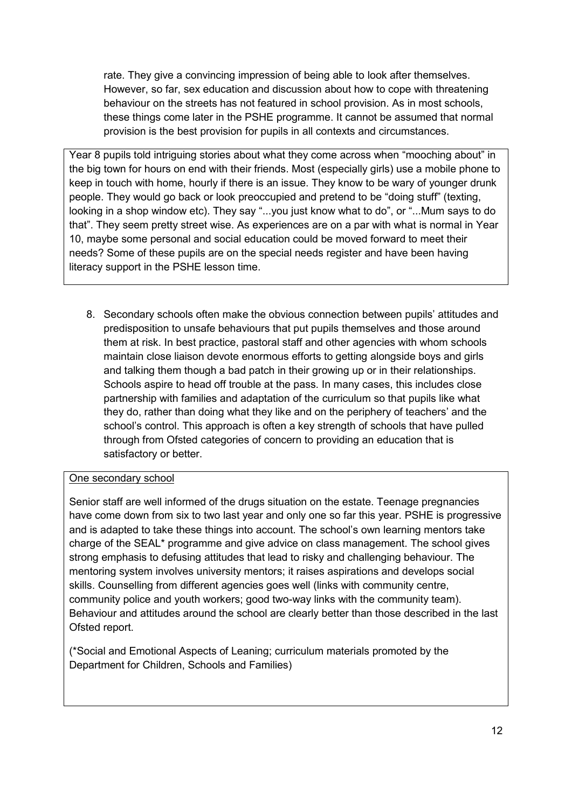rate. They give a convincing impression of being able to look after themselves. However, so far, sex education and discussion about how to cope with threatening behaviour on the streets has not featured in school provision. As in most schools, these things come later in the PSHE programme. It cannot be assumed that normal provision is the best provision for pupils in all contexts and circumstances.

Year 8 pupils told intriguing stories about what they come across when "mooching about" in the big town for hours on end with their friends. Most (especially girls) use a mobile phone to keep in touch with home, hourly if there is an issue. They know to be wary of younger drunk people. They would go back or look preoccupied and pretend to be "doing stuff" (texting, looking in a shop window etc). They say "...you just know what to do", or "...Mum says to do that". They seem pretty street wise. As experiences are on a par with what is normal in Year 10, maybe some personal and social education could be moved forward to meet their needs? Some of these pupils are on the special needs register and have been having literacy support in the PSHE lesson time.

8. Secondary schools often make the obvious connection between pupils" attitudes and predisposition to unsafe behaviours that put pupils themselves and those around them at risk. In best practice, pastoral staff and other agencies with whom schools maintain close liaison devote enormous efforts to getting alongside boys and girls and talking them though a bad patch in their growing up or in their relationships. Schools aspire to head off trouble at the pass. In many cases, this includes close partnership with families and adaptation of the curriculum so that pupils like what they do, rather than doing what they like and on the periphery of teachers' and the school's control. This approach is often a key strength of schools that have pulled through from Ofsted categories of concern to providing an education that is satisfactory or better.

#### One secondary school

Senior staff are well informed of the drugs situation on the estate. Teenage pregnancies have come down from six to two last year and only one so far this year. PSHE is progressive and is adapted to take these things into account. The school"s own learning mentors take charge of the SEAL\* programme and give advice on class management. The school gives strong emphasis to defusing attitudes that lead to risky and challenging behaviour. The mentoring system involves university mentors; it raises aspirations and develops social skills. Counselling from different agencies goes well (links with community centre, community police and youth workers; good two-way links with the community team). Behaviour and attitudes around the school are clearly better than those described in the last Ofsted report.

(\*Social and Emotional Aspects of Leaning; curriculum materials promoted by the Department for Children, Schools and Families)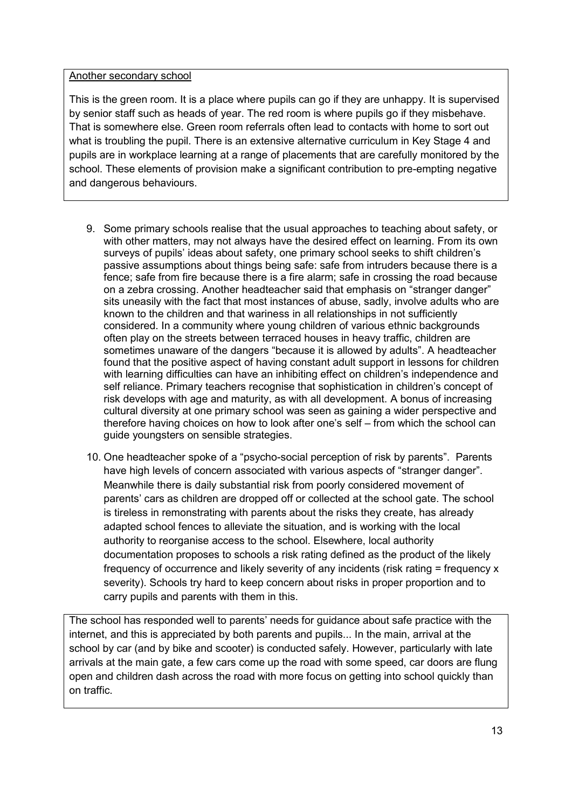#### Another secondary school

This is the green room. It is a place where pupils can go if they are unhappy. It is supervised by senior staff such as heads of year. The red room is where pupils go if they misbehave. That is somewhere else. Green room referrals often lead to contacts with home to sort out what is troubling the pupil. There is an extensive alternative curriculum in Key Stage 4 and pupils are in workplace learning at a range of placements that are carefully monitored by the school. These elements of provision make a significant contribution to pre-empting negative and dangerous behaviours.

- 9. Some primary schools realise that the usual approaches to teaching about safety, or with other matters, may not always have the desired effect on learning. From its own surveys of pupils" ideas about safety, one primary school seeks to shift children"s passive assumptions about things being safe: safe from intruders because there is a fence; safe from fire because there is a fire alarm; safe in crossing the road because on a zebra crossing. Another headteacher said that emphasis on "stranger danger" sits uneasily with the fact that most instances of abuse, sadly, involve adults who are known to the children and that wariness in all relationships in not sufficiently considered. In a community where young children of various ethnic backgrounds often play on the streets between terraced houses in heavy traffic, children are sometimes unaware of the dangers "because it is allowed by adults". A headteacher found that the positive aspect of having constant adult support in lessons for children with learning difficulties can have an inhibiting effect on children"s independence and self reliance. Primary teachers recognise that sophistication in children's concept of risk develops with age and maturity, as with all development. A bonus of increasing cultural diversity at one primary school was seen as gaining a wider perspective and therefore having choices on how to look after one"s self – from which the school can guide youngsters on sensible strategies.
- 10. One headteacher spoke of a "psycho-social perception of risk by parents". Parents have high levels of concern associated with various aspects of "stranger danger". Meanwhile there is daily substantial risk from poorly considered movement of parents" cars as children are dropped off or collected at the school gate. The school is tireless in remonstrating with parents about the risks they create, has already adapted school fences to alleviate the situation, and is working with the local authority to reorganise access to the school. Elsewhere, local authority documentation proposes to schools a risk rating defined as the product of the likely frequency of occurrence and likely severity of any incidents (risk rating = frequency x severity). Schools try hard to keep concern about risks in proper proportion and to carry pupils and parents with them in this.

The school has responded well to parents' needs for guidance about safe practice with the internet, and this is appreciated by both parents and pupils... In the main, arrival at the school by car (and by bike and scooter) is conducted safely. However, particularly with late arrivals at the main gate, a few cars come up the road with some speed, car doors are flung open and children dash across the road with more focus on getting into school quickly than on traffic.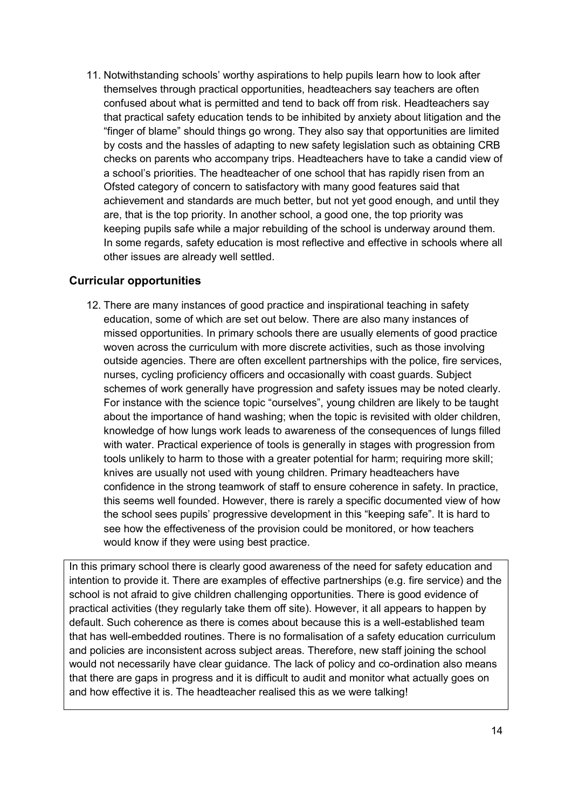11. Notwithstanding schools" worthy aspirations to help pupils learn how to look after themselves through practical opportunities, headteachers say teachers are often confused about what is permitted and tend to back off from risk. Headteachers say that practical safety education tends to be inhibited by anxiety about litigation and the "finger of blame" should things go wrong. They also say that opportunities are limited by costs and the hassles of adapting to new safety legislation such as obtaining CRB checks on parents who accompany trips. Headteachers have to take a candid view of a school"s priorities. The headteacher of one school that has rapidly risen from an Ofsted category of concern to satisfactory with many good features said that achievement and standards are much better, but not yet good enough, and until they are, that is the top priority. In another school, a good one, the top priority was keeping pupils safe while a major rebuilding of the school is underway around them. In some regards, safety education is most reflective and effective in schools where all other issues are already well settled.

#### **Curricular opportunities**

12. There are many instances of good practice and inspirational teaching in safety education, some of which are set out below. There are also many instances of missed opportunities. In primary schools there are usually elements of good practice woven across the curriculum with more discrete activities, such as those involving outside agencies. There are often excellent partnerships with the police, fire services, nurses, cycling proficiency officers and occasionally with coast guards. Subject schemes of work generally have progression and safety issues may be noted clearly. For instance with the science topic "ourselves", young children are likely to be taught about the importance of hand washing; when the topic is revisited with older children, knowledge of how lungs work leads to awareness of the consequences of lungs filled with water. Practical experience of tools is generally in stages with progression from tools unlikely to harm to those with a greater potential for harm; requiring more skill; knives are usually not used with young children. Primary headteachers have confidence in the strong teamwork of staff to ensure coherence in safety. In practice, this seems well founded. However, there is rarely a specific documented view of how the school sees pupils" progressive development in this "keeping safe". It is hard to see how the effectiveness of the provision could be monitored, or how teachers would know if they were using best practice.

In this primary school there is clearly good awareness of the need for safety education and intention to provide it. There are examples of effective partnerships (e.g. fire service) and the school is not afraid to give children challenging opportunities. There is good evidence of practical activities (they regularly take them off site). However, it all appears to happen by default. Such coherence as there is comes about because this is a well-established team that has well-embedded routines. There is no formalisation of a safety education curriculum and policies are inconsistent across subject areas. Therefore, new staff joining the school would not necessarily have clear guidance. The lack of policy and co-ordination also means that there are gaps in progress and it is difficult to audit and monitor what actually goes on and how effective it is. The headteacher realised this as we were talking!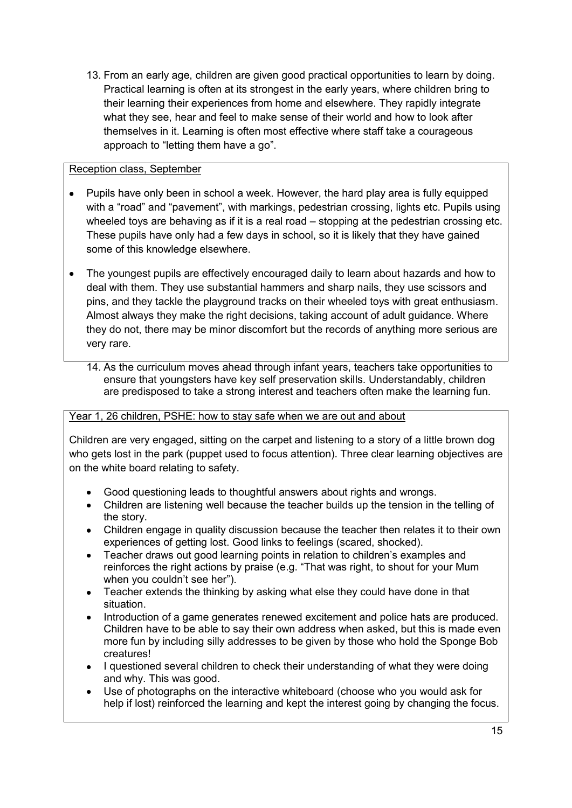13. From an early age, children are given good practical opportunities to learn by doing. Practical learning is often at its strongest in the early years, where children bring to their learning their experiences from home and elsewhere. They rapidly integrate what they see, hear and feel to make sense of their world and how to look after themselves in it. Learning is often most effective where staff take a courageous approach to "letting them have a go".

#### Reception class, September

- Pupils have only been in school a week. However, the hard play area is fully equipped with a "road" and "pavement", with markings, pedestrian crossing, lights etc. Pupils using wheeled toys are behaving as if it is a real road – stopping at the pedestrian crossing etc. These pupils have only had a few days in school, so it is likely that they have gained some of this knowledge elsewhere.
- The youngest pupils are effectively encouraged daily to learn about hazards and how to  $\bullet$ deal with them. They use substantial hammers and sharp nails, they use scissors and pins, and they tackle the playground tracks on their wheeled toys with great enthusiasm. Almost always they make the right decisions, taking account of adult guidance. Where they do not, there may be minor discomfort but the records of anything more serious are very rare.
	- 14. As the curriculum moves ahead through infant years, teachers take opportunities to ensure that youngsters have key self preservation skills. Understandably, children are predisposed to take a strong interest and teachers often make the learning fun.

#### Year 1, 26 children, PSHE: how to stay safe when we are out and about

Children are very engaged, sitting on the carpet and listening to a story of a little brown dog who gets lost in the park (puppet used to focus attention). Three clear learning objectives are on the white board relating to safety.

- Good questioning leads to thoughtful answers about rights and wrongs.
- Children are listening well because the teacher builds up the tension in the telling of the story.
- Children engage in quality discussion because the teacher then relates it to their own experiences of getting lost. Good links to feelings (scared, shocked).
- Teacher draws out good learning points in relation to children"s examples and  $\bullet$ reinforces the right actions by praise (e.g. "That was right, to shout for your Mum when you couldn't see her").
- Teacher extends the thinking by asking what else they could have done in that situation.
- Introduction of a game generates renewed excitement and police hats are produced. Children have to be able to say their own address when asked, but this is made even more fun by including silly addresses to be given by those who hold the Sponge Bob creatures!
- I questioned several children to check their understanding of what they were doing and why. This was good.
- Use of photographs on the interactive whiteboard (choose who you would ask for help if lost) reinforced the learning and kept the interest going by changing the focus.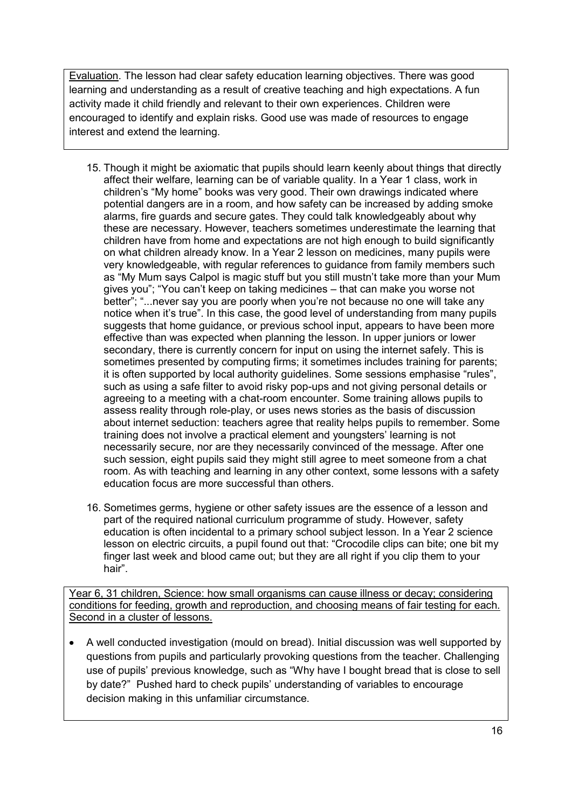Evaluation. The lesson had clear safety education learning objectives. There was good learning and understanding as a result of creative teaching and high expectations. A fun activity made it child friendly and relevant to their own experiences. Children were encouraged to identify and explain risks. Good use was made of resources to engage interest and extend the learning.

- 15. Though it might be axiomatic that pupils should learn keenly about things that directly affect their welfare, learning can be of variable quality. In a Year 1 class, work in children"s "My home" books was very good. Their own drawings indicated where potential dangers are in a room, and how safety can be increased by adding smoke alarms, fire guards and secure gates. They could talk knowledgeably about why these are necessary. However, teachers sometimes underestimate the learning that children have from home and expectations are not high enough to build significantly on what children already know. In a Year 2 lesson on medicines, many pupils were very knowledgeable, with regular references to guidance from family members such as "My Mum says Calpol is magic stuff but you still mustn"t take more than your Mum gives you"; "You can"t keep on taking medicines – that can make you worse not better"; "...never say you are poorly when you"re not because no one will take any notice when it's true". In this case, the good level of understanding from many pupils suggests that home guidance, or previous school input, appears to have been more effective than was expected when planning the lesson. In upper juniors or lower secondary, there is currently concern for input on using the internet safely. This is sometimes presented by computing firms; it sometimes includes training for parents; it is often supported by local authority guidelines. Some sessions emphasise "rules", such as using a safe filter to avoid risky pop-ups and not giving personal details or agreeing to a meeting with a chat-room encounter. Some training allows pupils to assess reality through role-play, or uses news stories as the basis of discussion about internet seduction: teachers agree that reality helps pupils to remember. Some training does not involve a practical element and youngsters" learning is not necessarily secure, nor are they necessarily convinced of the message. After one such session, eight pupils said they might still agree to meet someone from a chat room. As with teaching and learning in any other context, some lessons with a safety education focus are more successful than others.
- 16. Sometimes germs, hygiene or other safety issues are the essence of a lesson and part of the required national curriculum programme of study. However, safety education is often incidental to a primary school subject lesson. In a Year 2 science lesson on electric circuits, a pupil found out that: "Crocodile clips can bite; one bit my finger last week and blood came out; but they are all right if you clip them to your hair".

Year 6, 31 children, Science: how small organisms can cause illness or decay; considering conditions for feeding, growth and reproduction, and choosing means of fair testing for each. Second in a cluster of lessons.

A well conducted investigation (mould on bread). Initial discussion was well supported by questions from pupils and particularly provoking questions from the teacher. Challenging use of pupils" previous knowledge, such as "Why have I bought bread that is close to sell by date?" Pushed hard to check pupils" understanding of variables to encourage decision making in this unfamiliar circumstance.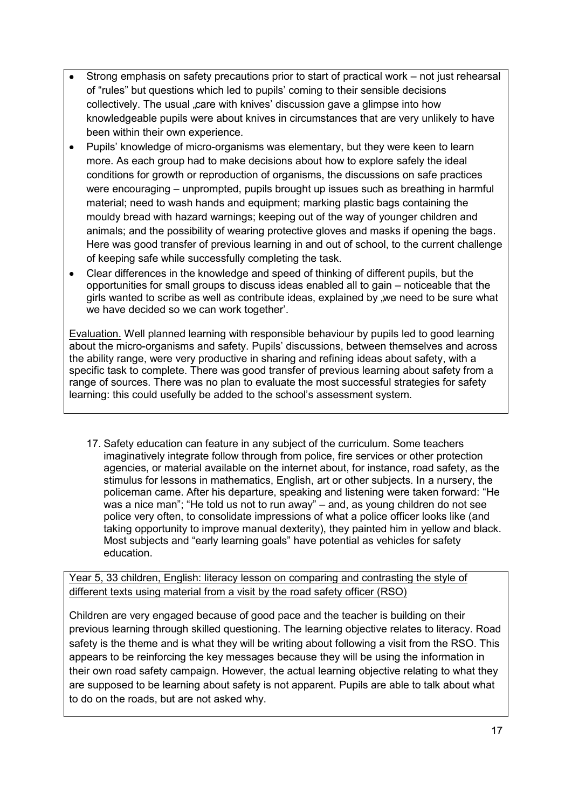- Strong emphasis on safety precautions prior to start of practical work not just rehearsal of "rules" but questions which led to pupils" coming to their sensible decisions collectively. The usual "care with knives' discussion gave a glimpse into how knowledgeable pupils were about knives in circumstances that are very unlikely to have been within their own experience.
- Pupils" knowledge of micro-organisms was elementary, but they were keen to learn  $\bullet$ more. As each group had to make decisions about how to explore safely the ideal conditions for growth or reproduction of organisms, the discussions on safe practices were encouraging – unprompted, pupils brought up issues such as breathing in harmful material; need to wash hands and equipment; marking plastic bags containing the mouldy bread with hazard warnings; keeping out of the way of younger children and animals; and the possibility of wearing protective gloves and masks if opening the bags. Here was good transfer of previous learning in and out of school, to the current challenge of keeping safe while successfully completing the task.
- Clear differences in the knowledge and speed of thinking of different pupils, but the opportunities for small groups to discuss ideas enabled all to gain – noticeable that the girls wanted to scribe as well as contribute ideas, explained by "we need to be sure what we have decided so we can work together".

Evaluation. Well planned learning with responsible behaviour by pupils led to good learning about the micro-organisms and safety. Pupils" discussions, between themselves and across the ability range, were very productive in sharing and refining ideas about safety, with a specific task to complete. There was good transfer of previous learning about safety from a range of sources. There was no plan to evaluate the most successful strategies for safety learning: this could usefully be added to the school"s assessment system.

17. Safety education can feature in any subject of the curriculum. Some teachers imaginatively integrate follow through from police, fire services or other protection agencies, or material available on the internet about, for instance, road safety, as the stimulus for lessons in mathematics, English, art or other subjects. In a nursery, the policeman came. After his departure, speaking and listening were taken forward: "He was a nice man"; "He told us not to run away" – and, as young children do not see police very often, to consolidate impressions of what a police officer looks like (and taking opportunity to improve manual dexterity), they painted him in yellow and black. Most subjects and "early learning goals" have potential as vehicles for safety education.

Year 5, 33 children, English: literacy lesson on comparing and contrasting the style of different texts using material from a visit by the road safety officer (RSO)

Children are very engaged because of good pace and the teacher is building on their previous learning through skilled questioning. The learning objective relates to literacy. Road safety is the theme and is what they will be writing about following a visit from the RSO. This appears to be reinforcing the key messages because they will be using the information in their own road safety campaign. However, the actual learning objective relating to what they are supposed to be learning about safety is not apparent. Pupils are able to talk about what to do on the roads, but are not asked why.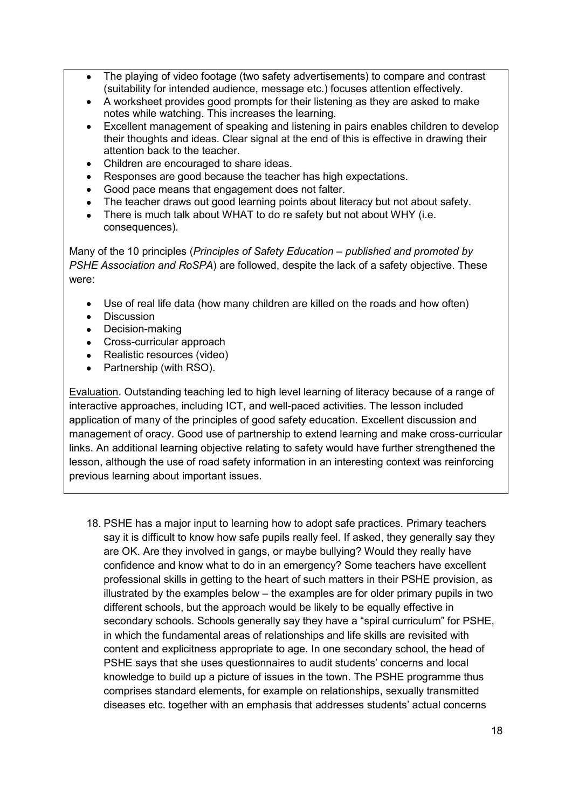- The playing of video footage (two safety advertisements) to compare and contrast  $\bullet$ (suitability for intended audience, message etc.) focuses attention effectively.
- A worksheet provides good prompts for their listening as they are asked to make  $\bullet$ notes while watching. This increases the learning.
- Excellent management of speaking and listening in pairs enables children to develop their thoughts and ideas. Clear signal at the end of this is effective in drawing their attention back to the teacher.
- Children are encouraged to share ideas.  $\bullet$
- Responses are good because the teacher has high expectations.  $\bullet$
- Good pace means that engagement does not falter.  $\bullet$
- The teacher draws out good learning points about literacy but not about safety.
- There is much talk about WHAT to do re safety but not about WHY (i.e.  $\bullet$ consequences).

Many of the 10 principles (*Principles of Safety Education – published and promoted by PSHE Association and RoSPA*) are followed, despite the lack of a safety objective. These were:

- Use of real life data (how many children are killed on the roads and how often)  $\bullet$
- Discussion
- Decision-making
- Cross-curricular approach
- Realistic resources (video)
- Partnership (with RSO).  $\bullet$

Evaluation. Outstanding teaching led to high level learning of literacy because of a range of interactive approaches, including ICT, and well-paced activities. The lesson included application of many of the principles of good safety education. Excellent discussion and management of oracy. Good use of partnership to extend learning and make cross-curricular links. An additional learning objective relating to safety would have further strengthened the lesson, although the use of road safety information in an interesting context was reinforcing previous learning about important issues.

18. PSHE has a major input to learning how to adopt safe practices. Primary teachers say it is difficult to know how safe pupils really feel. If asked, they generally say they are OK. Are they involved in gangs, or maybe bullying? Would they really have confidence and know what to do in an emergency? Some teachers have excellent professional skills in getting to the heart of such matters in their PSHE provision, as illustrated by the examples below – the examples are for older primary pupils in two different schools, but the approach would be likely to be equally effective in secondary schools. Schools generally say they have a "spiral curriculum" for PSHE, in which the fundamental areas of relationships and life skills are revisited with content and explicitness appropriate to age. In one secondary school, the head of PSHE says that she uses questionnaires to audit students" concerns and local knowledge to build up a picture of issues in the town. The PSHE programme thus comprises standard elements, for example on relationships, sexually transmitted diseases etc. together with an emphasis that addresses students" actual concerns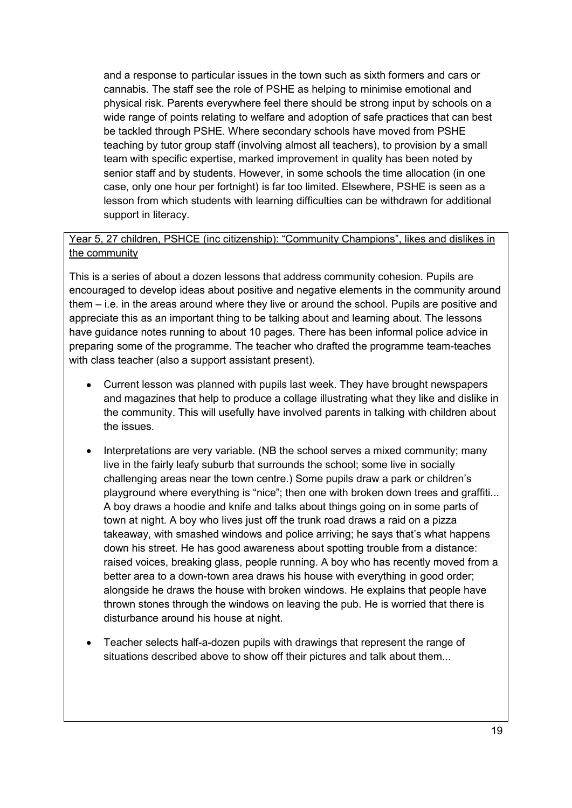and a response to particular issues in the town such as sixth formers and cars or cannabis. The staff see the role of PSHE as helping to minimise emotional and physical risk. Parents everywhere feel there should be strong input by schools on a wide range of points relating to welfare and adoption of safe practices that can best be tackled through PSHE. Where secondary schools have moved from PSHE teaching by tutor group staff (involving almost all teachers), to provision by a small team with specific expertise, marked improvement in quality has been noted by senior staff and by students. However, in some schools the time allocation (in one case, only one hour per fortnight) is far too limited. Elsewhere, PSHE is seen as a lesson from which students with learning difficulties can be withdrawn for additional support in literacy.

#### Year 5, 27 children, PSHCE (inc citizenship): "Community Champions", likes and dislikes in the community

This is a series of about a dozen lessons that address community cohesion. Pupils are encouraged to develop ideas about positive and negative elements in the community around them – i.e. in the areas around where they live or around the school. Pupils are positive and appreciate this as an important thing to be talking about and learning about. The lessons have guidance notes running to about 10 pages. There has been informal police advice in preparing some of the programme. The teacher who drafted the programme team-teaches with class teacher (also a support assistant present).

- Current lesson was planned with pupils last week. They have brought newspapers and magazines that help to produce a collage illustrating what they like and dislike in the community. This will usefully have involved parents in talking with children about the issues.
- Interpretations are very variable. (NB the school serves a mixed community; many live in the fairly leafy suburb that surrounds the school; some live in socially challenging areas near the town centre.) Some pupils draw a park or children"s playground where everything is "nice"; then one with broken down trees and graffiti... A boy draws a hoodie and knife and talks about things going on in some parts of town at night. A boy who lives just off the trunk road draws a raid on a pizza takeaway, with smashed windows and police arriving; he says that's what happens down his street. He has good awareness about spotting trouble from a distance: raised voices, breaking glass, people running. A boy who has recently moved from a better area to a down-town area draws his house with everything in good order; alongside he draws the house with broken windows. He explains that people have thrown stones through the windows on leaving the pub. He is worried that there is disturbance around his house at night.
- Teacher selects half-a-dozen pupils with drawings that represent the range of  $\bullet$  . situations described above to show off their pictures and talk about them...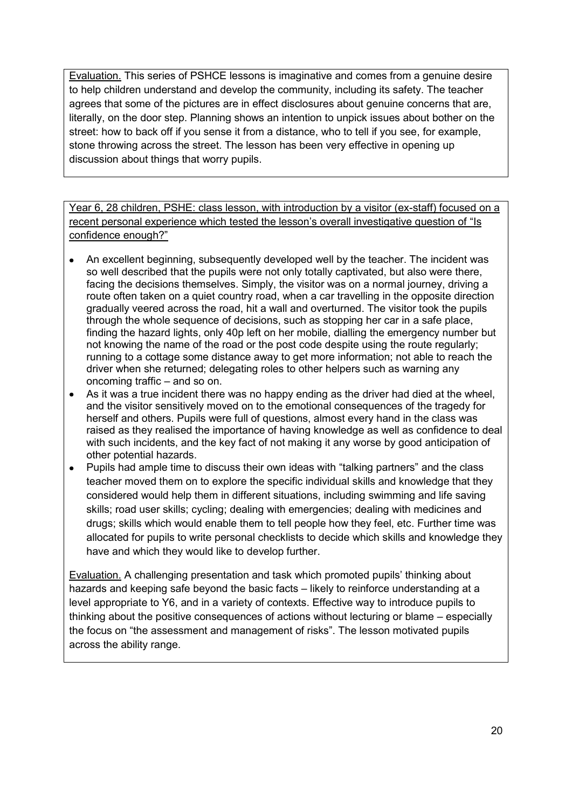Evaluation. This series of PSHCE lessons is imaginative and comes from a genuine desire to help children understand and develop the community, including its safety. The teacher agrees that some of the pictures are in effect disclosures about genuine concerns that are, literally, on the door step. Planning shows an intention to unpick issues about bother on the street: how to back off if you sense it from a distance, who to tell if you see, for example, stone throwing across the street. The lesson has been very effective in opening up discussion about things that worry pupils.

Year 6, 28 children, PSHE: class lesson, with introduction by a visitor (ex-staff) focused on a recent personal experience which tested the lesson's overall investigative question of "Is confidence enough?"

- An excellent beginning, subsequently developed well by the teacher. The incident was so well described that the pupils were not only totally captivated, but also were there, facing the decisions themselves. Simply, the visitor was on a normal journey, driving a route often taken on a quiet country road, when a car travelling in the opposite direction gradually veered across the road, hit a wall and overturned. The visitor took the pupils through the whole sequence of decisions, such as stopping her car in a safe place, finding the hazard lights, only 40p left on her mobile, dialling the emergency number but not knowing the name of the road or the post code despite using the route regularly; running to a cottage some distance away to get more information; not able to reach the driver when she returned; delegating roles to other helpers such as warning any oncoming traffic – and so on.
- As it was a true incident there was no happy ending as the driver had died at the wheel,  $\bullet$ and the visitor sensitively moved on to the emotional consequences of the tragedy for herself and others. Pupils were full of questions, almost every hand in the class was raised as they realised the importance of having knowledge as well as confidence to deal with such incidents, and the key fact of not making it any worse by good anticipation of other potential hazards.
- Pupils had ample time to discuss their own ideas with "talking partners" and the class teacher moved them on to explore the specific individual skills and knowledge that they considered would help them in different situations, including swimming and life saving skills; road user skills; cycling; dealing with emergencies; dealing with medicines and drugs; skills which would enable them to tell people how they feel, etc. Further time was allocated for pupils to write personal checklists to decide which skills and knowledge they have and which they would like to develop further.

Evaluation. A challenging presentation and task which promoted pupils" thinking about hazards and keeping safe beyond the basic facts – likely to reinforce understanding at a level appropriate to Y6, and in a variety of contexts. Effective way to introduce pupils to thinking about the positive consequences of actions without lecturing or blame – especially the focus on "the assessment and management of risks". The lesson motivated pupils across the ability range.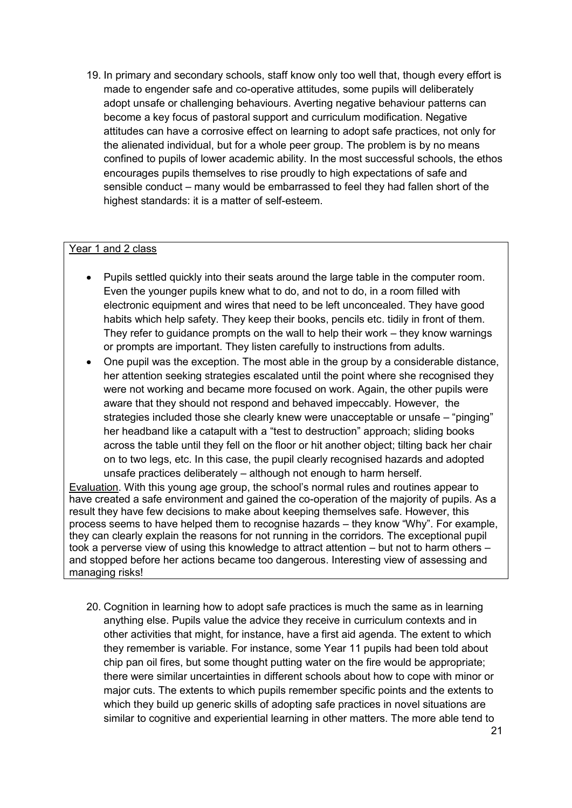19. In primary and secondary schools, staff know only too well that, though every effort is made to engender safe and co-operative attitudes, some pupils will deliberately adopt unsafe or challenging behaviours. Averting negative behaviour patterns can become a key focus of pastoral support and curriculum modification. Negative attitudes can have a corrosive effect on learning to adopt safe practices, not only for the alienated individual, but for a whole peer group. The problem is by no means confined to pupils of lower academic ability. In the most successful schools, the ethos encourages pupils themselves to rise proudly to high expectations of safe and sensible conduct – many would be embarrassed to feel they had fallen short of the highest standards: it is a matter of self-esteem.

#### Year 1 and 2 class

- Pupils settled quickly into their seats around the large table in the computer room. Even the younger pupils knew what to do, and not to do, in a room filled with electronic equipment and wires that need to be left unconcealed. They have good habits which help safety. They keep their books, pencils etc. tidily in front of them. They refer to guidance prompts on the wall to help their work – they know warnings or prompts are important. They listen carefully to instructions from adults.
- One pupil was the exception. The most able in the group by a considerable distance,  $\bullet$ her attention seeking strategies escalated until the point where she recognised they were not working and became more focused on work. Again, the other pupils were aware that they should not respond and behaved impeccably. However, the strategies included those she clearly knew were unacceptable or unsafe – "pinging" her headband like a catapult with a "test to destruction" approach; sliding books across the table until they fell on the floor or hit another object; tilting back her chair on to two legs, etc. In this case, the pupil clearly recognised hazards and adopted unsafe practices deliberately – although not enough to harm herself.

Evaluation. With this young age group, the school"s normal rules and routines appear to have created a safe environment and gained the co-operation of the majority of pupils. As a result they have few decisions to make about keeping themselves safe. However, this process seems to have helped them to recognise hazards – they know "Why". For example, they can clearly explain the reasons for not running in the corridors. The exceptional pupil took a perverse view of using this knowledge to attract attention – but not to harm others – and stopped before her actions became too dangerous. Interesting view of assessing and managing risks!

20. Cognition in learning how to adopt safe practices is much the same as in learning anything else. Pupils value the advice they receive in curriculum contexts and in other activities that might, for instance, have a first aid agenda. The extent to which they remember is variable. For instance, some Year 11 pupils had been told about chip pan oil fires, but some thought putting water on the fire would be appropriate; there were similar uncertainties in different schools about how to cope with minor or major cuts. The extents to which pupils remember specific points and the extents to which they build up generic skills of adopting safe practices in novel situations are similar to cognitive and experiential learning in other matters. The more able tend to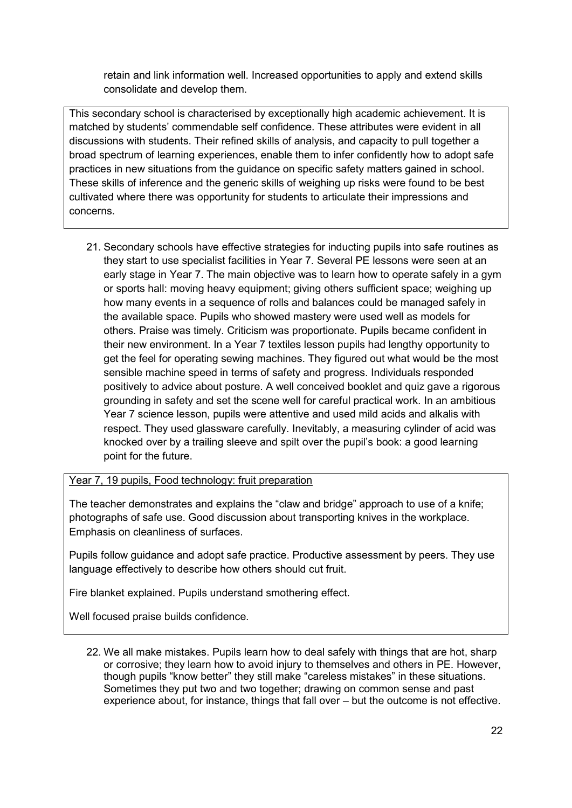retain and link information well. Increased opportunities to apply and extend skills consolidate and develop them.

This secondary school is characterised by exceptionally high academic achievement. It is matched by students" commendable self confidence. These attributes were evident in all discussions with students. Their refined skills of analysis, and capacity to pull together a broad spectrum of learning experiences, enable them to infer confidently how to adopt safe practices in new situations from the guidance on specific safety matters gained in school. These skills of inference and the generic skills of weighing up risks were found to be best cultivated where there was opportunity for students to articulate their impressions and concerns.

21. Secondary schools have effective strategies for inducting pupils into safe routines as they start to use specialist facilities in Year 7. Several PE lessons were seen at an early stage in Year 7. The main objective was to learn how to operate safely in a gym or sports hall: moving heavy equipment; giving others sufficient space; weighing up how many events in a sequence of rolls and balances could be managed safely in the available space. Pupils who showed mastery were used well as models for others. Praise was timely. Criticism was proportionate. Pupils became confident in their new environment. In a Year 7 textiles lesson pupils had lengthy opportunity to get the feel for operating sewing machines. They figured out what would be the most sensible machine speed in terms of safety and progress. Individuals responded positively to advice about posture. A well conceived booklet and quiz gave a rigorous grounding in safety and set the scene well for careful practical work. In an ambitious Year 7 science lesson, pupils were attentive and used mild acids and alkalis with respect. They used glassware carefully. Inevitably, a measuring cylinder of acid was knocked over by a trailing sleeve and spilt over the pupil"s book: a good learning point for the future.

Year 7, 19 pupils, Food technology: fruit preparation

The teacher demonstrates and explains the "claw and bridge" approach to use of a knife; photographs of safe use. Good discussion about transporting knives in the workplace. Emphasis on cleanliness of surfaces.

Pupils follow guidance and adopt safe practice. Productive assessment by peers. They use language effectively to describe how others should cut fruit.

Fire blanket explained. Pupils understand smothering effect.

Well focused praise builds confidence.

22. We all make mistakes. Pupils learn how to deal safely with things that are hot, sharp or corrosive; they learn how to avoid injury to themselves and others in PE. However, though pupils "know better" they still make "careless mistakes" in these situations. Sometimes they put two and two together; drawing on common sense and past experience about, for instance, things that fall over – but the outcome is not effective.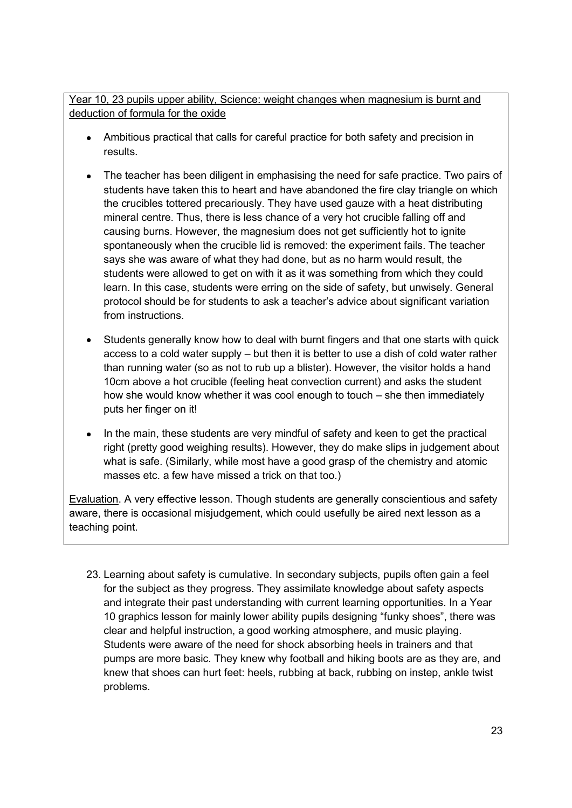Year 10, 23 pupils upper ability, Science: weight changes when magnesium is burnt and deduction of formula for the oxide

- Ambitious practical that calls for careful practice for both safety and precision in  $\bullet$ results.
- The teacher has been diligent in emphasising the need for safe practice. Two pairs of  $\bullet$ students have taken this to heart and have abandoned the fire clay triangle on which the crucibles tottered precariously. They have used gauze with a heat distributing mineral centre. Thus, there is less chance of a very hot crucible falling off and causing burns. However, the magnesium does not get sufficiently hot to ignite spontaneously when the crucible lid is removed: the experiment fails. The teacher says she was aware of what they had done, but as no harm would result, the students were allowed to get on with it as it was something from which they could learn. In this case, students were erring on the side of safety, but unwisely. General protocol should be for students to ask a teacher"s advice about significant variation from instructions.
- Students generally know how to deal with burnt fingers and that one starts with quick access to a cold water supply – but then it is better to use a dish of cold water rather than running water (so as not to rub up a blister). However, the visitor holds a hand 10cm above a hot crucible (feeling heat convection current) and asks the student how she would know whether it was cool enough to touch – she then immediately puts her finger on it!
- In the main, these students are very mindful of safety and keen to get the practical right (pretty good weighing results). However, they do make slips in judgement about what is safe. (Similarly, while most have a good grasp of the chemistry and atomic masses etc. a few have missed a trick on that too.)

Evaluation. A very effective lesson. Though students are generally conscientious and safety aware, there is occasional misjudgement, which could usefully be aired next lesson as a teaching point.

23. Learning about safety is cumulative. In secondary subjects, pupils often gain a feel for the subject as they progress. They assimilate knowledge about safety aspects and integrate their past understanding with current learning opportunities. In a Year 10 graphics lesson for mainly lower ability pupils designing "funky shoes", there was clear and helpful instruction, a good working atmosphere, and music playing. Students were aware of the need for shock absorbing heels in trainers and that pumps are more basic. They knew why football and hiking boots are as they are, and knew that shoes can hurt feet: heels, rubbing at back, rubbing on instep, ankle twist problems.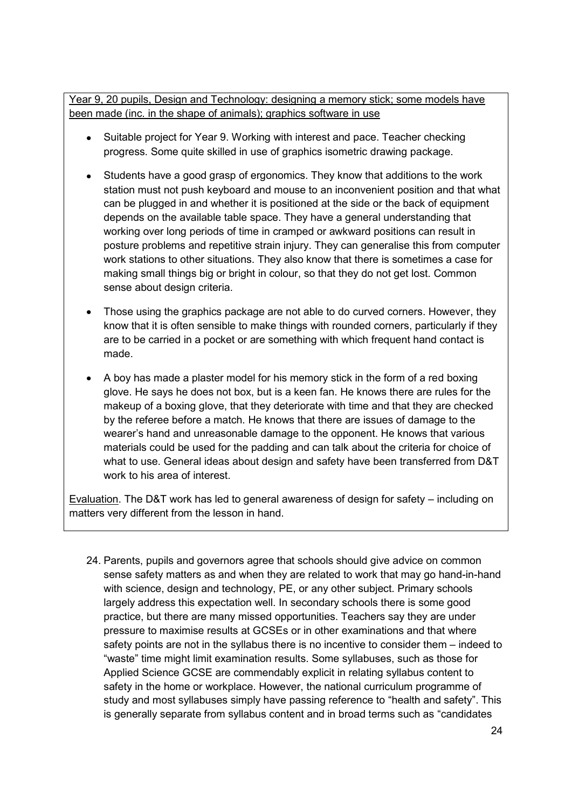Year 9, 20 pupils, Design and Technology: designing a memory stick; some models have been made (inc. in the shape of animals); graphics software in use

- Suitable project for Year 9. Working with interest and pace. Teacher checking  $\bullet$ progress. Some quite skilled in use of graphics isometric drawing package.
- Students have a good grasp of ergonomics. They know that additions to the work station must not push keyboard and mouse to an inconvenient position and that what can be plugged in and whether it is positioned at the side or the back of equipment depends on the available table space. They have a general understanding that working over long periods of time in cramped or awkward positions can result in posture problems and repetitive strain injury. They can generalise this from computer work stations to other situations. They also know that there is sometimes a case for making small things big or bright in colour, so that they do not get lost. Common sense about design criteria.
- Those using the graphics package are not able to do curved corners. However, they know that it is often sensible to make things with rounded corners, particularly if they are to be carried in a pocket or are something with which frequent hand contact is made.
- A boy has made a plaster model for his memory stick in the form of a red boxing glove. He says he does not box, but is a keen fan. He knows there are rules for the makeup of a boxing glove, that they deteriorate with time and that they are checked by the referee before a match. He knows that there are issues of damage to the wearer"s hand and unreasonable damage to the opponent. He knows that various materials could be used for the padding and can talk about the criteria for choice of what to use. General ideas about design and safety have been transferred from D&T work to his area of interest.

Evaluation. The D&T work has led to general awareness of design for safety – including on matters very different from the lesson in hand.

24. Parents, pupils and governors agree that schools should give advice on common sense safety matters as and when they are related to work that may go hand-in-hand with science, design and technology, PE, or any other subject. Primary schools largely address this expectation well. In secondary schools there is some good practice, but there are many missed opportunities. Teachers say they are under pressure to maximise results at GCSEs or in other examinations and that where safety points are not in the syllabus there is no incentive to consider them – indeed to "waste" time might limit examination results. Some syllabuses, such as those for Applied Science GCSE are commendably explicit in relating syllabus content to safety in the home or workplace. However, the national curriculum programme of study and most syllabuses simply have passing reference to "health and safety". This is generally separate from syllabus content and in broad terms such as "candidates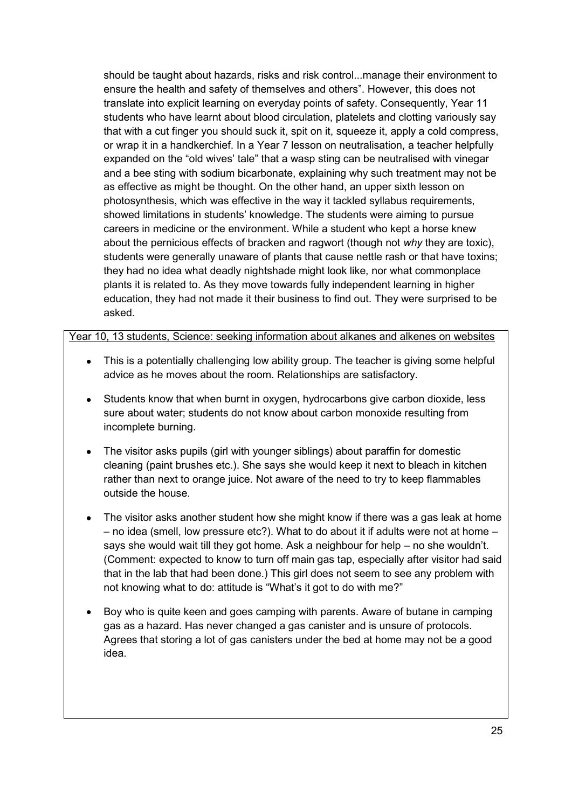should be taught about hazards, risks and risk control...manage their environment to ensure the health and safety of themselves and others". However, this does not translate into explicit learning on everyday points of safety. Consequently, Year 11 students who have learnt about blood circulation, platelets and clotting variously say that with a cut finger you should suck it, spit on it, squeeze it, apply a cold compress, or wrap it in a handkerchief. In a Year 7 lesson on neutralisation, a teacher helpfully expanded on the "old wives" tale" that a wasp sting can be neutralised with vinegar and a bee sting with sodium bicarbonate, explaining why such treatment may not be as effective as might be thought. On the other hand, an upper sixth lesson on photosynthesis, which was effective in the way it tackled syllabus requirements, showed limitations in students" knowledge. The students were aiming to pursue careers in medicine or the environment. While a student who kept a horse knew about the pernicious effects of bracken and ragwort (though not *why* they are toxic), students were generally unaware of plants that cause nettle rash or that have toxins; they had no idea what deadly nightshade might look like, nor what commonplace plants it is related to. As they move towards fully independent learning in higher education, they had not made it their business to find out. They were surprised to be asked.

Year 10, 13 students, Science: seeking information about alkanes and alkenes on websites

- This is a potentially challenging low ability group. The teacher is giving some helpful advice as he moves about the room. Relationships are satisfactory.
- Students know that when burnt in oxygen, hydrocarbons give carbon dioxide, less sure about water; students do not know about carbon monoxide resulting from incomplete burning.
- The visitor asks pupils (girl with younger siblings) about paraffin for domestic cleaning (paint brushes etc.). She says she would keep it next to bleach in kitchen rather than next to orange juice. Not aware of the need to try to keep flammables outside the house.
- The visitor asks another student how she might know if there was a gas leak at home – no idea (smell, low pressure etc?). What to do about it if adults were not at home – says she would wait till they got home. Ask a neighbour for help – no she wouldn"t. (Comment: expected to know to turn off main gas tap, especially after visitor had said that in the lab that had been done.) This girl does not seem to see any problem with not knowing what to do: attitude is "What's it got to do with me?"
- Boy who is quite keen and goes camping with parents. Aware of butane in camping gas as a hazard. Has never changed a gas canister and is unsure of protocols. Agrees that storing a lot of gas canisters under the bed at home may not be a good idea.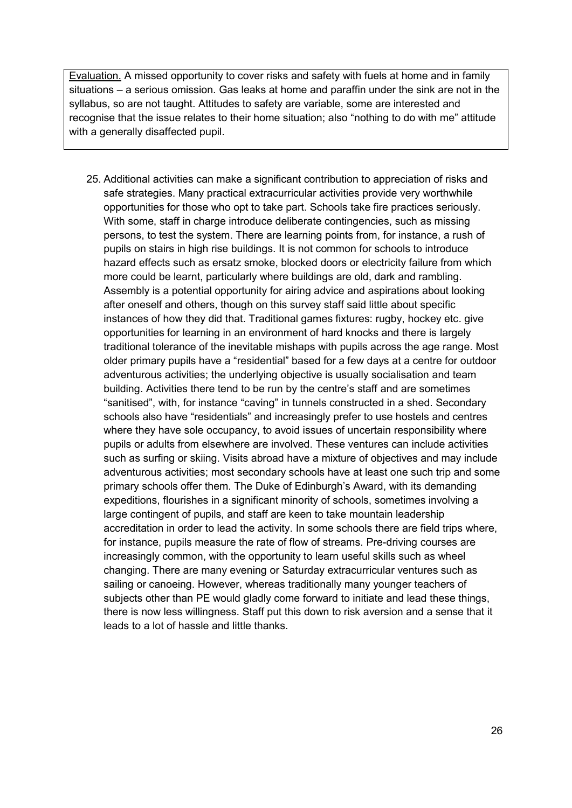Evaluation. A missed opportunity to cover risks and safety with fuels at home and in family situations – a serious omission. Gas leaks at home and paraffin under the sink are not in the syllabus, so are not taught. Attitudes to safety are variable, some are interested and recognise that the issue relates to their home situation; also "nothing to do with me" attitude with a generally disaffected pupil.

25. Additional activities can make a significant contribution to appreciation of risks and safe strategies. Many practical extracurricular activities provide very worthwhile opportunities for those who opt to take part. Schools take fire practices seriously. With some, staff in charge introduce deliberate contingencies, such as missing persons, to test the system. There are learning points from, for instance, a rush of pupils on stairs in high rise buildings. It is not common for schools to introduce hazard effects such as ersatz smoke, blocked doors or electricity failure from which more could be learnt, particularly where buildings are old, dark and rambling. Assembly is a potential opportunity for airing advice and aspirations about looking after oneself and others, though on this survey staff said little about specific instances of how they did that. Traditional games fixtures: rugby, hockey etc. give opportunities for learning in an environment of hard knocks and there is largely traditional tolerance of the inevitable mishaps with pupils across the age range. Most older primary pupils have a "residential" based for a few days at a centre for outdoor adventurous activities; the underlying objective is usually socialisation and team building. Activities there tend to be run by the centre's staff and are sometimes "sanitised", with, for instance "caving" in tunnels constructed in a shed. Secondary schools also have "residentials" and increasingly prefer to use hostels and centres where they have sole occupancy, to avoid issues of uncertain responsibility where pupils or adults from elsewhere are involved. These ventures can include activities such as surfing or skiing. Visits abroad have a mixture of objectives and may include adventurous activities; most secondary schools have at least one such trip and some primary schools offer them. The Duke of Edinburgh's Award, with its demanding expeditions, flourishes in a significant minority of schools, sometimes involving a large contingent of pupils, and staff are keen to take mountain leadership accreditation in order to lead the activity. In some schools there are field trips where, for instance, pupils measure the rate of flow of streams. Pre-driving courses are increasingly common, with the opportunity to learn useful skills such as wheel changing. There are many evening or Saturday extracurricular ventures such as sailing or canoeing. However, whereas traditionally many younger teachers of subjects other than PE would gladly come forward to initiate and lead these things, there is now less willingness. Staff put this down to risk aversion and a sense that it leads to a lot of hassle and little thanks.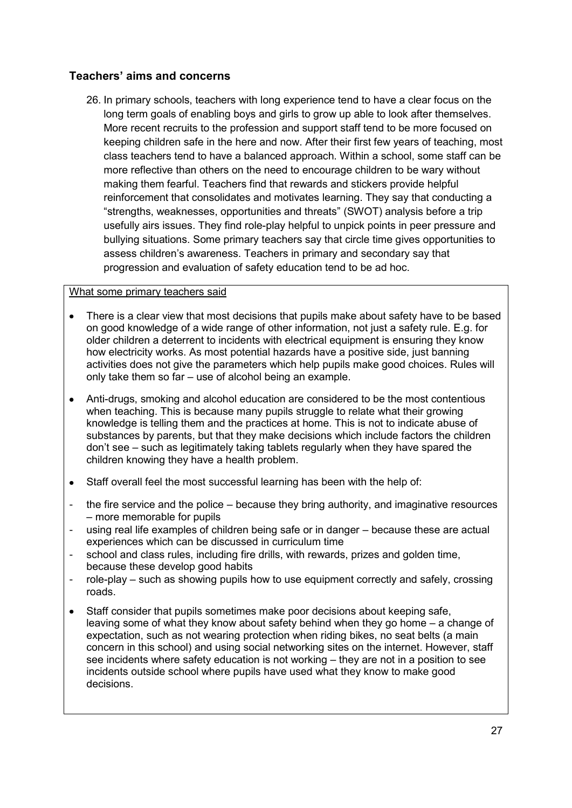#### **Teachers' aims and concerns**

26. In primary schools, teachers with long experience tend to have a clear focus on the long term goals of enabling boys and girls to grow up able to look after themselves. More recent recruits to the profession and support staff tend to be more focused on keeping children safe in the here and now. After their first few years of teaching, most class teachers tend to have a balanced approach. Within a school, some staff can be more reflective than others on the need to encourage children to be wary without making them fearful. Teachers find that rewards and stickers provide helpful reinforcement that consolidates and motivates learning. They say that conducting a "strengths, weaknesses, opportunities and threats" (SWOT) analysis before a trip usefully airs issues. They find role-play helpful to unpick points in peer pressure and bullying situations. Some primary teachers say that circle time gives opportunities to assess children"s awareness. Teachers in primary and secondary say that progression and evaluation of safety education tend to be ad hoc.

#### What some primary teachers said

- There is a clear view that most decisions that pupils make about safety have to be based on good knowledge of a wide range of other information, not just a safety rule. E.g. for older children a deterrent to incidents with electrical equipment is ensuring they know how electricity works. As most potential hazards have a positive side, just banning activities does not give the parameters which help pupils make good choices. Rules will only take them so far – use of alcohol being an example.
- Anti-drugs, smoking and alcohol education are considered to be the most contentious when teaching. This is because many pupils struggle to relate what their growing knowledge is telling them and the practices at home. This is not to indicate abuse of substances by parents, but that they make decisions which include factors the children don"t see – such as legitimately taking tablets regularly when they have spared the children knowing they have a health problem.
- Staff overall feel the most successful learning has been with the help of:  $\bullet$
- the fire service and the police because they bring authority, and imaginative resources – more memorable for pupils
- using real life examples of children being safe or in danger because these are actual experiences which can be discussed in curriculum time
- school and class rules, including fire drills, with rewards, prizes and golden time, because these develop good habits
- role-play such as showing pupils how to use equipment correctly and safely, crossing roads.
- Staff consider that pupils sometimes make poor decisions about keeping safe, leaving some of what they know about safety behind when they go home – a change of expectation, such as not wearing protection when riding bikes, no seat belts (a main concern in this school) and using social networking sites on the internet. However, staff see incidents where safety education is not working – they are not in a position to see incidents outside school where pupils have used what they know to make good decisions.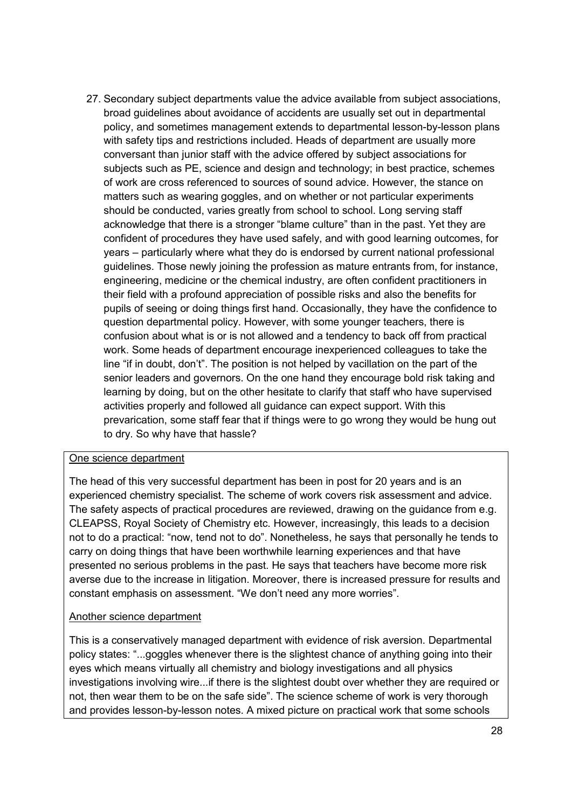27. Secondary subject departments value the advice available from subject associations, broad guidelines about avoidance of accidents are usually set out in departmental policy, and sometimes management extends to departmental lesson-by-lesson plans with safety tips and restrictions included. Heads of department are usually more conversant than junior staff with the advice offered by subject associations for subjects such as PE, science and design and technology; in best practice, schemes of work are cross referenced to sources of sound advice. However, the stance on matters such as wearing goggles, and on whether or not particular experiments should be conducted, varies greatly from school to school. Long serving staff acknowledge that there is a stronger "blame culture" than in the past. Yet they are confident of procedures they have used safely, and with good learning outcomes, for years – particularly where what they do is endorsed by current national professional guidelines. Those newly joining the profession as mature entrants from, for instance, engineering, medicine or the chemical industry, are often confident practitioners in their field with a profound appreciation of possible risks and also the benefits for pupils of seeing or doing things first hand. Occasionally, they have the confidence to question departmental policy. However, with some younger teachers, there is confusion about what is or is not allowed and a tendency to back off from practical work. Some heads of department encourage inexperienced colleagues to take the line "if in doubt, don't". The position is not helped by vacillation on the part of the senior leaders and governors. On the one hand they encourage bold risk taking and learning by doing, but on the other hesitate to clarify that staff who have supervised activities properly and followed all guidance can expect support. With this prevarication, some staff fear that if things were to go wrong they would be hung out to dry. So why have that hassle?

#### One science department

The head of this very successful department has been in post for 20 years and is an experienced chemistry specialist. The scheme of work covers risk assessment and advice. The safety aspects of practical procedures are reviewed, drawing on the guidance from e.g. CLEAPSS, Royal Society of Chemistry etc. However, increasingly, this leads to a decision not to do a practical: "now, tend not to do". Nonetheless, he says that personally he tends to carry on doing things that have been worthwhile learning experiences and that have presented no serious problems in the past. He says that teachers have become more risk averse due to the increase in litigation. Moreover, there is increased pressure for results and constant emphasis on assessment. "We don"t need any more worries".

#### Another science department

This is a conservatively managed department with evidence of risk aversion. Departmental policy states: "...goggles whenever there is the slightest chance of anything going into their eyes which means virtually all chemistry and biology investigations and all physics investigations involving wire...if there is the slightest doubt over whether they are required or not, then wear them to be on the safe side". The science scheme of work is very thorough and provides lesson-by-lesson notes. A mixed picture on practical work that some schools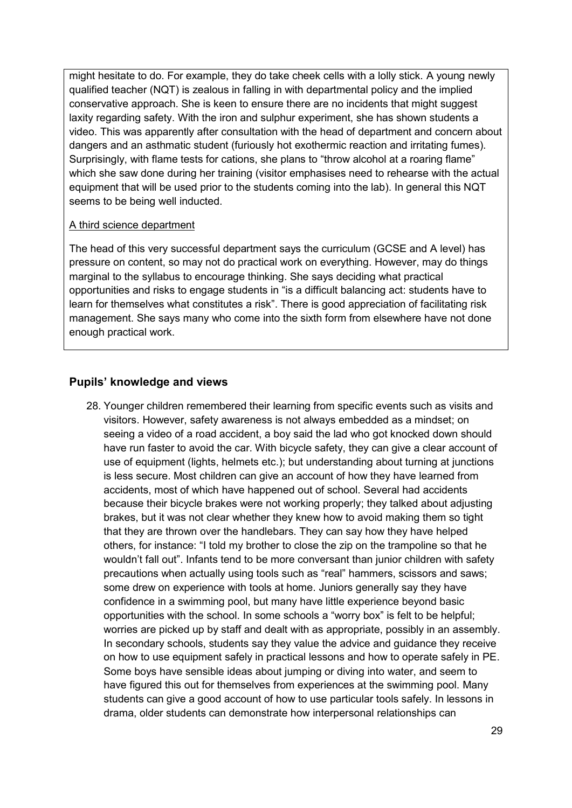might hesitate to do. For example, they do take cheek cells with a lolly stick. A young newly qualified teacher (NQT) is zealous in falling in with departmental policy and the implied conservative approach. She is keen to ensure there are no incidents that might suggest laxity regarding safety. With the iron and sulphur experiment, she has shown students a video. This was apparently after consultation with the head of department and concern about dangers and an asthmatic student (furiously hot exothermic reaction and irritating fumes). Surprisingly, with flame tests for cations, she plans to "throw alcohol at a roaring flame" which she saw done during her training (visitor emphasises need to rehearse with the actual equipment that will be used prior to the students coming into the lab). In general this NQT seems to be being well inducted.

#### A third science department

The head of this very successful department says the curriculum (GCSE and A level) has pressure on content, so may not do practical work on everything. However, may do things marginal to the syllabus to encourage thinking. She says deciding what practical opportunities and risks to engage students in "is a difficult balancing act: students have to learn for themselves what constitutes a risk". There is good appreciation of facilitating risk management. She says many who come into the sixth form from elsewhere have not done enough practical work.

#### **Pupils' knowledge and views**

28. Younger children remembered their learning from specific events such as visits and visitors. However, safety awareness is not always embedded as a mindset; on seeing a video of a road accident, a boy said the lad who got knocked down should have run faster to avoid the car. With bicycle safety, they can give a clear account of use of equipment (lights, helmets etc.); but understanding about turning at junctions is less secure. Most children can give an account of how they have learned from accidents, most of which have happened out of school. Several had accidents because their bicycle brakes were not working properly; they talked about adjusting brakes, but it was not clear whether they knew how to avoid making them so tight that they are thrown over the handlebars. They can say how they have helped others, for instance: "I told my brother to close the zip on the trampoline so that he wouldn"t fall out". Infants tend to be more conversant than junior children with safety precautions when actually using tools such as "real" hammers, scissors and saws; some drew on experience with tools at home. Juniors generally say they have confidence in a swimming pool, but many have little experience beyond basic opportunities with the school. In some schools a "worry box" is felt to be helpful; worries are picked up by staff and dealt with as appropriate, possibly in an assembly. In secondary schools, students say they value the advice and guidance they receive on how to use equipment safely in practical lessons and how to operate safely in PE. Some boys have sensible ideas about jumping or diving into water, and seem to have figured this out for themselves from experiences at the swimming pool. Many students can give a good account of how to use particular tools safely. In lessons in drama, older students can demonstrate how interpersonal relationships can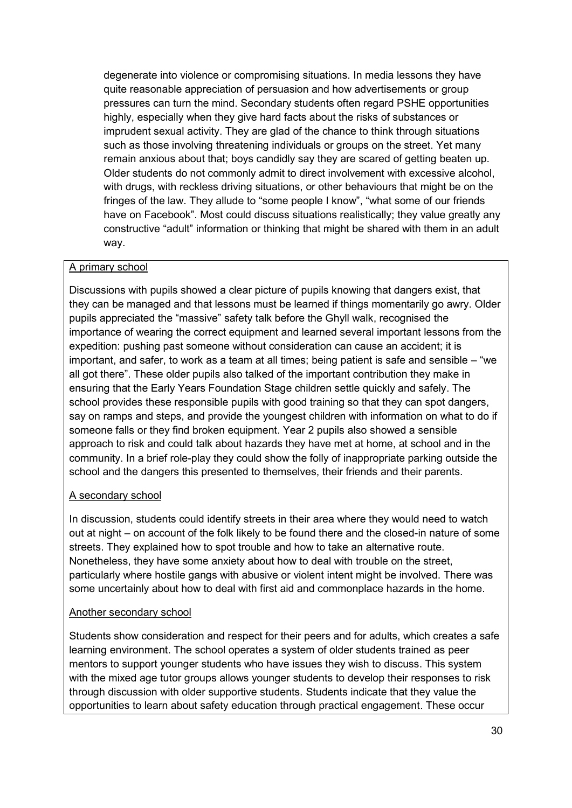degenerate into violence or compromising situations. In media lessons they have quite reasonable appreciation of persuasion and how advertisements or group pressures can turn the mind. Secondary students often regard PSHE opportunities highly, especially when they give hard facts about the risks of substances or imprudent sexual activity. They are glad of the chance to think through situations such as those involving threatening individuals or groups on the street. Yet many remain anxious about that; boys candidly say they are scared of getting beaten up. Older students do not commonly admit to direct involvement with excessive alcohol, with drugs, with reckless driving situations, or other behaviours that might be on the fringes of the law. They allude to "some people I know", "what some of our friends have on Facebook". Most could discuss situations realistically; they value greatly any constructive "adult" information or thinking that might be shared with them in an adult way.

#### A primary school

Discussions with pupils showed a clear picture of pupils knowing that dangers exist, that they can be managed and that lessons must be learned if things momentarily go awry. Older pupils appreciated the "massive" safety talk before the Ghyll walk, recognised the importance of wearing the correct equipment and learned several important lessons from the expedition: pushing past someone without consideration can cause an accident; it is important, and safer, to work as a team at all times; being patient is safe and sensible – "we all got there". These older pupils also talked of the important contribution they make in ensuring that the Early Years Foundation Stage children settle quickly and safely. The school provides these responsible pupils with good training so that they can spot dangers, say on ramps and steps, and provide the youngest children with information on what to do if someone falls or they find broken equipment. Year 2 pupils also showed a sensible approach to risk and could talk about hazards they have met at home, at school and in the community. In a brief role-play they could show the folly of inappropriate parking outside the school and the dangers this presented to themselves, their friends and their parents.

#### A secondary school

In discussion, students could identify streets in their area where they would need to watch out at night – on account of the folk likely to be found there and the closed-in nature of some streets. They explained how to spot trouble and how to take an alternative route. Nonetheless, they have some anxiety about how to deal with trouble on the street, particularly where hostile gangs with abusive or violent intent might be involved. There was some uncertainly about how to deal with first aid and commonplace hazards in the home.

#### Another secondary school

Students show consideration and respect for their peers and for adults, which creates a safe learning environment. The school operates a system of older students trained as peer mentors to support younger students who have issues they wish to discuss. This system with the mixed age tutor groups allows younger students to develop their responses to risk through discussion with older supportive students. Students indicate that they value the opportunities to learn about safety education through practical engagement. These occur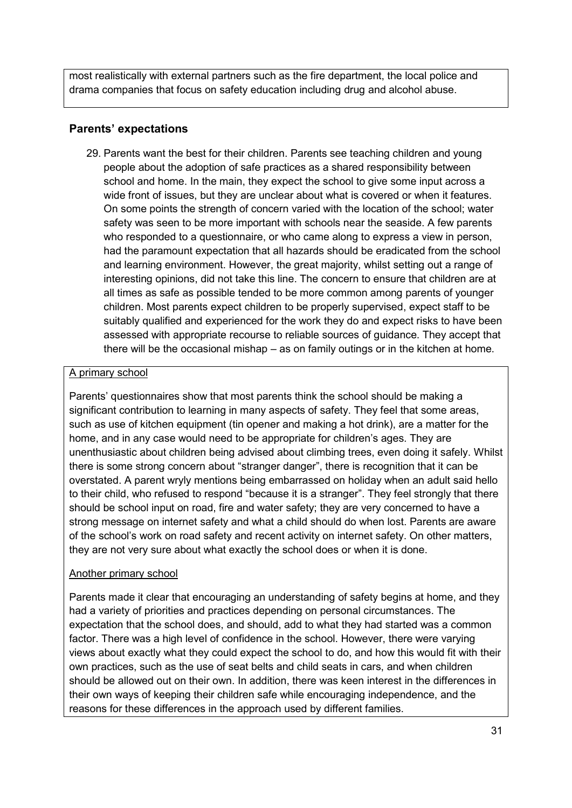most realistically with external partners such as the fire department, the local police and drama companies that focus on safety education including drug and alcohol abuse.

#### **Parents' expectations**

29. Parents want the best for their children. Parents see teaching children and young people about the adoption of safe practices as a shared responsibility between school and home. In the main, they expect the school to give some input across a wide front of issues, but they are unclear about what is covered or when it features. On some points the strength of concern varied with the location of the school; water safety was seen to be more important with schools near the seaside. A few parents who responded to a questionnaire, or who came along to express a view in person, had the paramount expectation that all hazards should be eradicated from the school and learning environment. However, the great majority, whilst setting out a range of interesting opinions, did not take this line. The concern to ensure that children are at all times as safe as possible tended to be more common among parents of younger children. Most parents expect children to be properly supervised, expect staff to be suitably qualified and experienced for the work they do and expect risks to have been assessed with appropriate recourse to reliable sources of guidance. They accept that there will be the occasional mishap – as on family outings or in the kitchen at home.

#### A primary school

Parents" questionnaires show that most parents think the school should be making a significant contribution to learning in many aspects of safety. They feel that some areas, such as use of kitchen equipment (tin opener and making a hot drink), are a matter for the home, and in any case would need to be appropriate for children"s ages. They are unenthusiastic about children being advised about climbing trees, even doing it safely. Whilst there is some strong concern about "stranger danger", there is recognition that it can be overstated. A parent wryly mentions being embarrassed on holiday when an adult said hello to their child, who refused to respond "because it is a stranger". They feel strongly that there should be school input on road, fire and water safety; they are very concerned to have a strong message on internet safety and what a child should do when lost. Parents are aware of the school"s work on road safety and recent activity on internet safety. On other matters, they are not very sure about what exactly the school does or when it is done.

#### Another primary school

Parents made it clear that encouraging an understanding of safety begins at home, and they had a variety of priorities and practices depending on personal circumstances. The expectation that the school does, and should, add to what they had started was a common factor. There was a high level of confidence in the school. However, there were varying views about exactly what they could expect the school to do, and how this would fit with their own practices, such as the use of seat belts and child seats in cars, and when children should be allowed out on their own. In addition, there was keen interest in the differences in their own ways of keeping their children safe while encouraging independence, and the reasons for these differences in the approach used by different families.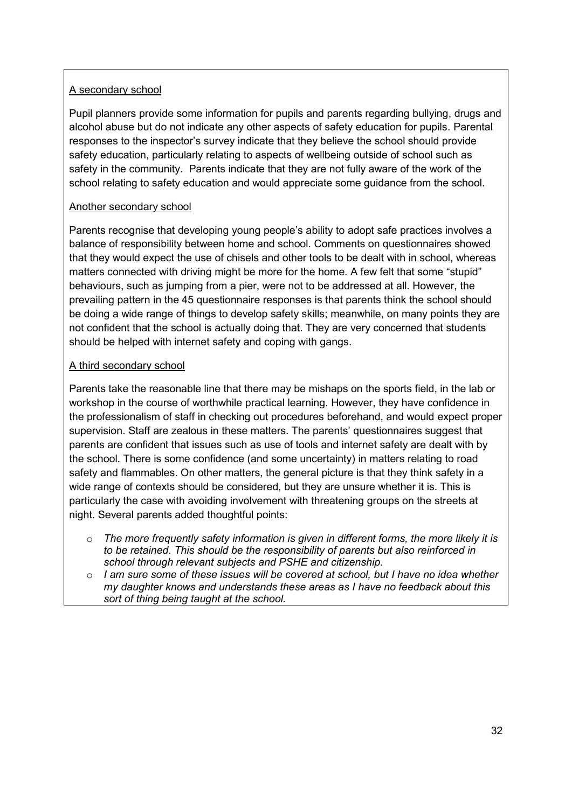#### A secondary school

Pupil planners provide some information for pupils and parents regarding bullying, drugs and alcohol abuse but do not indicate any other aspects of safety education for pupils. Parental responses to the inspector"s survey indicate that they believe the school should provide safety education, particularly relating to aspects of wellbeing outside of school such as safety in the community. Parents indicate that they are not fully aware of the work of the school relating to safety education and would appreciate some guidance from the school.

#### Another secondary school

Parents recognise that developing young people"s ability to adopt safe practices involves a balance of responsibility between home and school. Comments on questionnaires showed that they would expect the use of chisels and other tools to be dealt with in school, whereas matters connected with driving might be more for the home. A few felt that some "stupid" behaviours, such as jumping from a pier, were not to be addressed at all. However, the prevailing pattern in the 45 questionnaire responses is that parents think the school should be doing a wide range of things to develop safety skills; meanwhile, on many points they are not confident that the school is actually doing that. They are very concerned that students should be helped with internet safety and coping with gangs.

#### A third secondary school

Parents take the reasonable line that there may be mishaps on the sports field, in the lab or workshop in the course of worthwhile practical learning. However, they have confidence in the professionalism of staff in checking out procedures beforehand, and would expect proper supervision. Staff are zealous in these matters. The parents' questionnaires suggest that parents are confident that issues such as use of tools and internet safety are dealt with by the school. There is some confidence (and some uncertainty) in matters relating to road safety and flammables. On other matters, the general picture is that they think safety in a wide range of contexts should be considered, but they are unsure whether it is. This is particularly the case with avoiding involvement with threatening groups on the streets at night. Several parents added thoughtful points:

- o *The more frequently safety information is given in different forms, the more likely it is to be retained. This should be the responsibility of parents but also reinforced in school through relevant subjects and PSHE and citizenship.*
- o *I am sure some of these issues will be covered at school, but I have no idea whether my daughter knows and understands these areas as I have no feedback about this sort of thing being taught at the school.*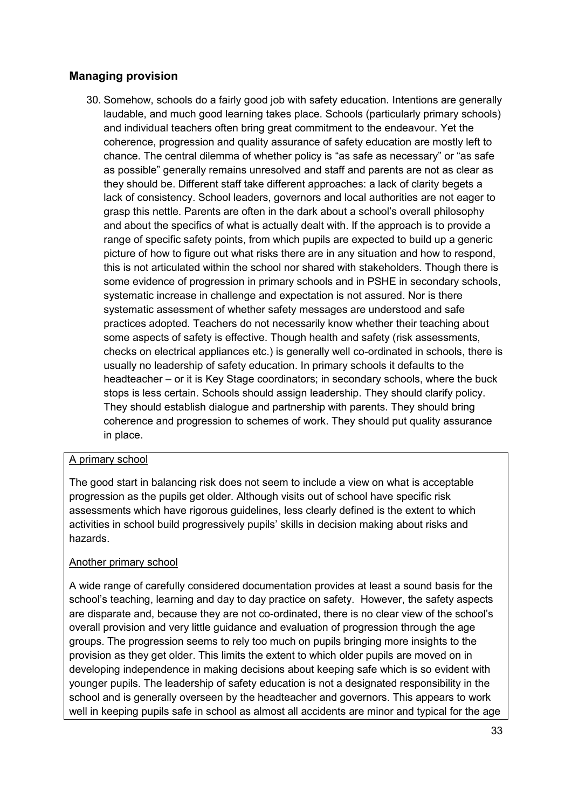#### **Managing provision**

30. Somehow, schools do a fairly good job with safety education. Intentions are generally laudable, and much good learning takes place. Schools (particularly primary schools) and individual teachers often bring great commitment to the endeavour. Yet the coherence, progression and quality assurance of safety education are mostly left to chance. The central dilemma of whether policy is "as safe as necessary" or "as safe as possible" generally remains unresolved and staff and parents are not as clear as they should be. Different staff take different approaches: a lack of clarity begets a lack of consistency. School leaders, governors and local authorities are not eager to grasp this nettle. Parents are often in the dark about a school"s overall philosophy and about the specifics of what is actually dealt with. If the approach is to provide a range of specific safety points, from which pupils are expected to build up a generic picture of how to figure out what risks there are in any situation and how to respond, this is not articulated within the school nor shared with stakeholders. Though there is some evidence of progression in primary schools and in PSHE in secondary schools, systematic increase in challenge and expectation is not assured. Nor is there systematic assessment of whether safety messages are understood and safe practices adopted. Teachers do not necessarily know whether their teaching about some aspects of safety is effective. Though health and safety (risk assessments, checks on electrical appliances etc.) is generally well co-ordinated in schools, there is usually no leadership of safety education. In primary schools it defaults to the headteacher – or it is Key Stage coordinators; in secondary schools, where the buck stops is less certain. Schools should assign leadership. They should clarify policy. They should establish dialogue and partnership with parents. They should bring coherence and progression to schemes of work. They should put quality assurance in place.

#### A primary school

The good start in balancing risk does not seem to include a view on what is acceptable progression as the pupils get older. Although visits out of school have specific risk assessments which have rigorous guidelines, less clearly defined is the extent to which activities in school build progressively pupils" skills in decision making about risks and hazards.

#### Another primary school

A wide range of carefully considered documentation provides at least a sound basis for the school"s teaching, learning and day to day practice on safety. However, the safety aspects are disparate and, because they are not co-ordinated, there is no clear view of the school"s overall provision and very little guidance and evaluation of progression through the age groups. The progression seems to rely too much on pupils bringing more insights to the provision as they get older. This limits the extent to which older pupils are moved on in developing independence in making decisions about keeping safe which is so evident with younger pupils. The leadership of safety education is not a designated responsibility in the school and is generally overseen by the headteacher and governors. This appears to work well in keeping pupils safe in school as almost all accidents are minor and typical for the age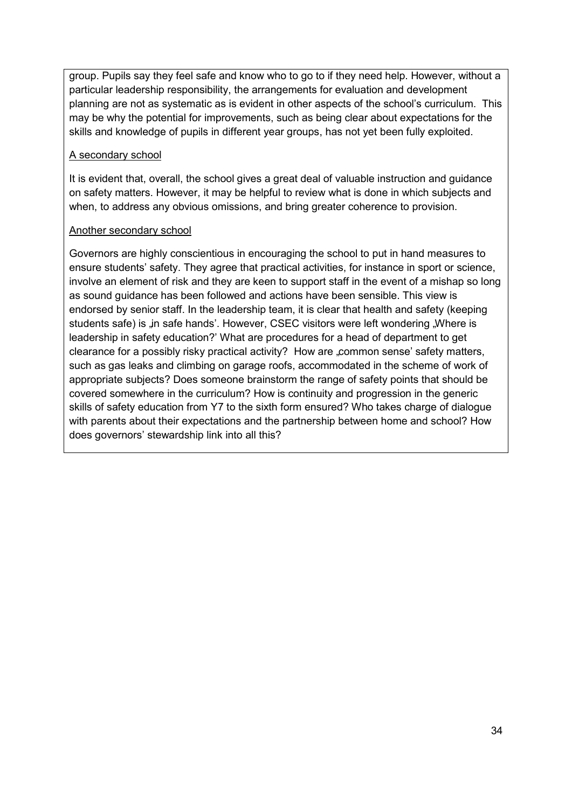group. Pupils say they feel safe and know who to go to if they need help. However, without a particular leadership responsibility, the arrangements for evaluation and development planning are not as systematic as is evident in other aspects of the school"s curriculum. This may be why the potential for improvements, such as being clear about expectations for the skills and knowledge of pupils in different year groups, has not yet been fully exploited.

#### A secondary school

It is evident that, overall, the school gives a great deal of valuable instruction and guidance on safety matters. However, it may be helpful to review what is done in which subjects and when, to address any obvious omissions, and bring greater coherence to provision.

#### Another secondary school

Governors are highly conscientious in encouraging the school to put in hand measures to ensure students" safety. They agree that practical activities, for instance in sport or science, involve an element of risk and they are keen to support staff in the event of a mishap so long as sound guidance has been followed and actions have been sensible. This view is endorsed by senior staff. In the leadership team, it is clear that health and safety (keeping students safe) is in safe hands'. However, CSEC visitors were left wondering "Where is leadership in safety education?" What are procedures for a head of department to get clearance for a possibly risky practical activity? How are "common sense' safety matters, such as gas leaks and climbing on garage roofs, accommodated in the scheme of work of appropriate subjects? Does someone brainstorm the range of safety points that should be covered somewhere in the curriculum? How is continuity and progression in the generic skills of safety education from Y7 to the sixth form ensured? Who takes charge of dialogue with parents about their expectations and the partnership between home and school? How does governors' stewardship link into all this?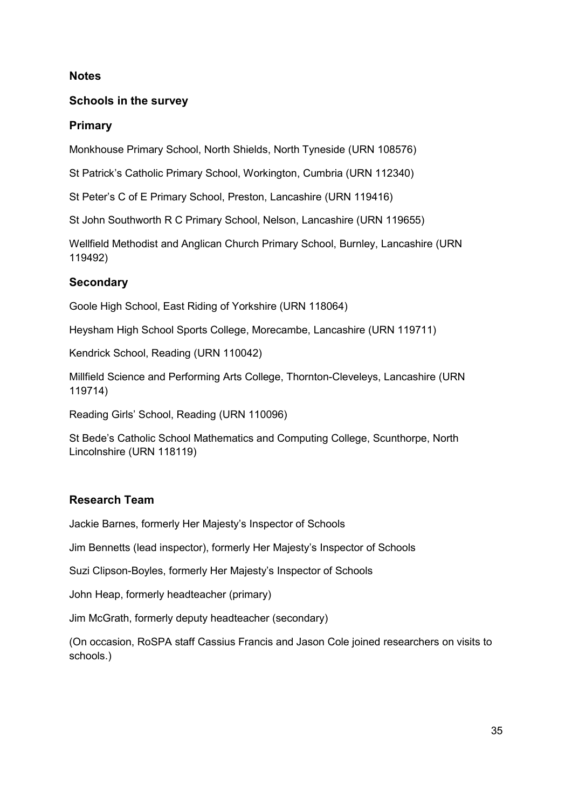#### **Notes**

#### **Schools in the survey**

#### **Primary**

Monkhouse Primary School, North Shields, North Tyneside (URN 108576)

St Patrick"s Catholic Primary School, Workington, Cumbria (URN 112340)

St Peter"s C of E Primary School, Preston, Lancashire (URN 119416)

St John Southworth R C Primary School, Nelson, Lancashire (URN 119655)

Wellfield Methodist and Anglican Church Primary School, Burnley, Lancashire (URN 119492)

#### **Secondary**

Goole High School, East Riding of Yorkshire (URN 118064)

Heysham High School Sports College, Morecambe, Lancashire (URN 119711)

Kendrick School, Reading (URN 110042)

Millfield Science and Performing Arts College, Thornton-Cleveleys, Lancashire (URN 119714)

Reading Girls" School, Reading (URN 110096)

St Bede"s Catholic School Mathematics and Computing College, Scunthorpe, North Lincolnshire (URN 118119)

#### **Research Team**

Jackie Barnes, formerly Her Majesty"s Inspector of Schools

Jim Bennetts (lead inspector), formerly Her Majesty"s Inspector of Schools

Suzi Clipson-Boyles, formerly Her Majesty"s Inspector of Schools

John Heap, formerly headteacher (primary)

Jim McGrath, formerly deputy headteacher (secondary)

(On occasion, RoSPA staff Cassius Francis and Jason Cole joined researchers on visits to schools.)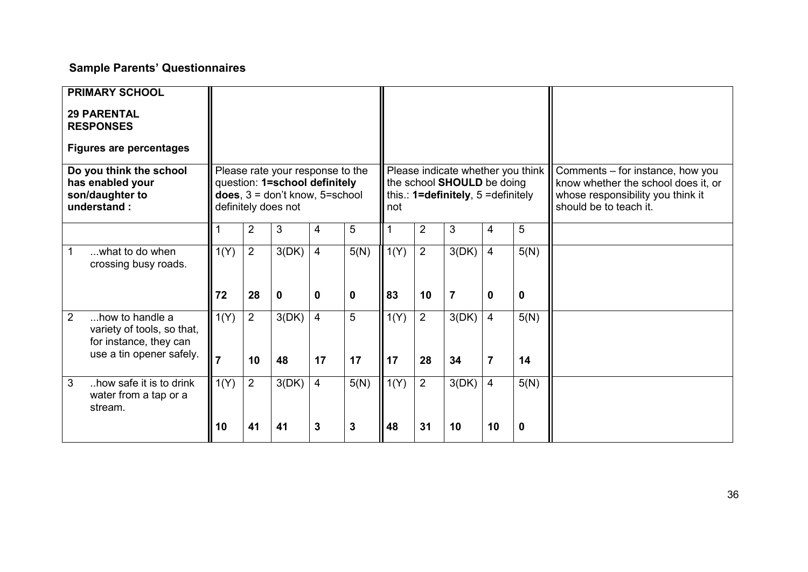## **Sample Parents' Questionnaires**

| <b>PRIMARY SCHOOL</b><br><b>29 PARENTAL</b><br><b>RESPONSES</b><br><b>Figures are percentages</b><br>Do you think the school<br>has enabled your<br>son/daughter to<br>understand: |                        |                      | Please rate your response to the<br>question: 1=school definitely<br>does, $3 =$ don't know, $5 =$ school<br>definitely does not |                      |             | not        |                      | Please indicate whether you think<br>the school SHOULD be doing<br>this.: $1 = \text{definitely}, 5 = \text{definitely}$ |                                  |            | Comments – for instance, how you<br>know whether the school does it, or<br>whose responsibility you think it<br>should be to teach it. |
|------------------------------------------------------------------------------------------------------------------------------------------------------------------------------------|------------------------|----------------------|----------------------------------------------------------------------------------------------------------------------------------|----------------------|-------------|------------|----------------------|--------------------------------------------------------------------------------------------------------------------------|----------------------------------|------------|----------------------------------------------------------------------------------------------------------------------------------------|
|                                                                                                                                                                                    |                        | 2                    | 3                                                                                                                                | 4                    | 5           |            | $\overline{2}$       | 3                                                                                                                        | 4                                | 5          |                                                                                                                                        |
| what to do when<br>crossing busy roads.                                                                                                                                            | 1(Y)                   | $\overline{2}$       | 3(DK)                                                                                                                            | $\overline{4}$       | 5(N)        | 1(Y)       | $\overline{2}$       | 3(DK)                                                                                                                    | $\overline{4}$                   | 5(N)       |                                                                                                                                        |
|                                                                                                                                                                                    | 72                     | 28                   | $\mathbf 0$                                                                                                                      | 0                    | $\mathbf 0$ | 83         | 10                   | $\overline{7}$                                                                                                           | $\mathbf{0}$                     | 0          |                                                                                                                                        |
| $\overline{2}$<br>how to handle a<br>variety of tools, so that,<br>for instance, they can<br>use a tin opener safely.                                                              | 1(Y)<br>$\overline{7}$ | $\overline{2}$<br>10 | 3(DK)<br>48                                                                                                                      | $\overline{4}$<br>17 | 5<br>17     | 1(Y)<br>17 | $\overline{2}$<br>28 | 3(DK)<br>34                                                                                                              | $\overline{4}$<br>$\overline{7}$ | 5(N)<br>14 |                                                                                                                                        |
| 3<br>how safe it is to drink<br>water from a tap or a<br>stream.                                                                                                                   | 1(Y)                   | $\overline{2}$       | 3(DK)                                                                                                                            | $\overline{4}$       | 5(N)        | 1(Y)       | $\overline{2}$       | 3(DK)                                                                                                                    | $\overline{4}$                   | 5(N)       |                                                                                                                                        |
|                                                                                                                                                                                    | 10                     | 41                   | 41                                                                                                                               | 3                    | 3           | 48         | 31                   | 10                                                                                                                       | 10                               | 0          |                                                                                                                                        |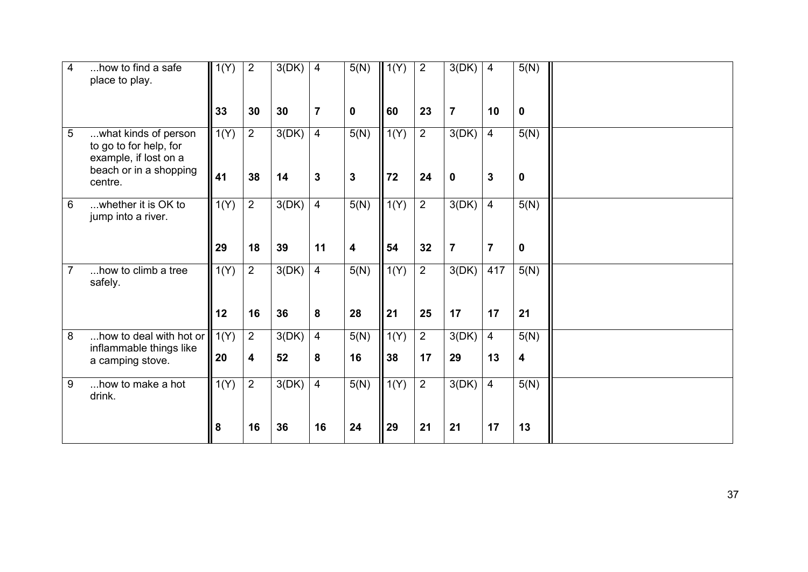| 4              | how to find a safe<br>place to play.                                                              | 1(Y) | $\overline{2}$ | 3(DK) | $\overline{4}$ | 5(N)                    | 1(Y) | 2              | 3(DK)          | $\overline{4}$ | 5(N)        |  |
|----------------|---------------------------------------------------------------------------------------------------|------|----------------|-------|----------------|-------------------------|------|----------------|----------------|----------------|-------------|--|
|                |                                                                                                   | 33   | 30             | 30    | $\overline{7}$ | $\mathbf 0$             | 60   | 23             | $\overline{7}$ | 10             | 0           |  |
| 5              | what kinds of person<br>to go to for help, for<br>example, if lost on a<br>beach or in a shopping | 1(Y) | $\overline{2}$ | 3(DK) | $\overline{4}$ | 5(N)                    | 1(Y) | $\overline{2}$ | 3(DK)          | $\overline{4}$ | 5(N)        |  |
|                | centre.                                                                                           | 41   | 38             | 14    | $\mathbf{3}$   | $\mathbf 3$             | 72   | 24             | $\mathbf 0$    | $\overline{3}$ | $\mathbf 0$ |  |
| 6              | whether it is OK to<br>jump into a river.                                                         | 1(Y) | $\overline{2}$ | 3(DK) | $\overline{4}$ | 5(N)                    | 1(Y) | $\overline{2}$ | 3(DK)          | $\overline{4}$ | 5(N)        |  |
|                |                                                                                                   | 29   | 18             | 39    | 11             | $\overline{\mathbf{4}}$ | 54   | 32             | $\overline{7}$ | $\overline{7}$ | $\mathbf 0$ |  |
| $\overline{7}$ | how to climb a tree<br>safely.                                                                    | 1(Y) | $\overline{2}$ | 3(DK) | $\overline{4}$ | 5(N)                    | 1(Y) | $\overline{2}$ | 3(DK)          | 417            | 5(N)        |  |
|                |                                                                                                   | 12   | 16             | 36    | 8              | 28                      | 21   | 25             | 17             | 17             | 21          |  |
| 8              | how to deal with hot or $\parallel$ 1(Y)<br>inflammable things like                               |      | $\overline{2}$ | 3(DK) | $\overline{4}$ | 5(N)                    | 1(Y) | $\overline{2}$ | 3(DK)          | $\overline{4}$ | 5(N)        |  |
|                | a camping stove.                                                                                  | 20   | 4              | 52    | 8              | 16                      | 38   | 17             | 29             | 13             | 4           |  |
| 9              | how to make a hot<br>drink.                                                                       | 1(Y) | $\overline{2}$ | 3(DK) | $\overline{4}$ | 5(N)                    | 1(Y) | $\overline{2}$ | 3(DK)          | $\overline{4}$ | 5(N)        |  |
|                |                                                                                                   | 8    | 16             | 36    | 16             | 24                      | 29   | 21             | 21             | 17             | 13          |  |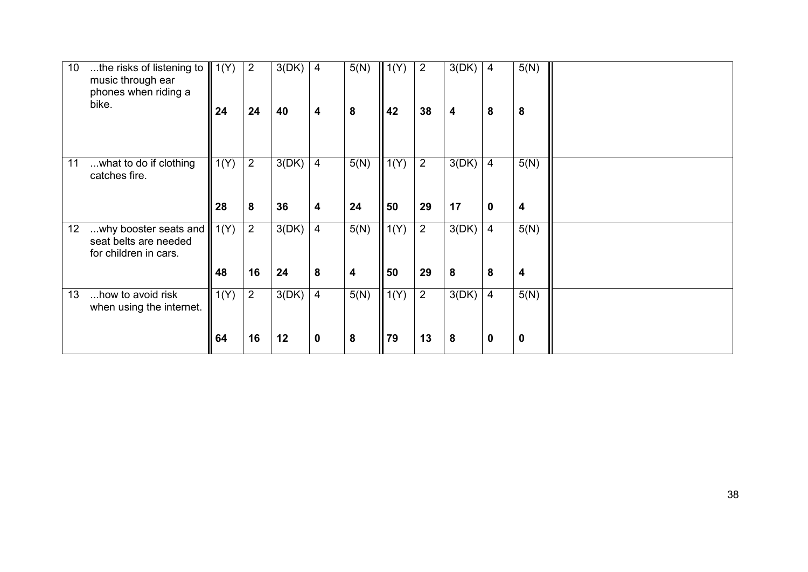| 10 | the risks of listening to<br>music through ear<br>phones when riding a<br>bike. | $\parallel$ 1(Y)<br>24 | 2<br>24              | 3(DK)<br>40 | 4<br>4                        | 5(N)<br>8                       | $\vert$ 1(Y)<br>42 | $\overline{2}$<br>38 | 3(DK)<br>4  | $\overline{4}$<br>8           | 5(N)<br>8 |  |
|----|---------------------------------------------------------------------------------|------------------------|----------------------|-------------|-------------------------------|---------------------------------|--------------------|----------------------|-------------|-------------------------------|-----------|--|
| 11 | what to do if clothing<br>catches fire.                                         | 1(Y)<br>28             | $\overline{2}$<br>8  | 3(DK)<br>36 | $\overline{4}$<br>4           | 5(N)<br>24                      | 1(Y)<br>50         | $\overline{2}$<br>29 | 3(DK)<br>17 | $\overline{4}$<br>$\mathbf 0$ | 5(N)<br>4 |  |
| 12 | why booster seats and<br>seat belts are needed<br>for children in cars.         | 1(Y)<br>48             | $\overline{2}$<br>16 | 3(DK)<br>24 | 4<br>8                        | 5(N)<br>$\overline{\mathbf{4}}$ | 1(Y)<br>50         | $\overline{2}$<br>29 | 3(DK)<br>8  | $\overline{4}$<br>8           | 5(N)<br>4 |  |
| 13 | how to avoid risk<br>when using the internet.                                   | 1(Y)<br>64             | $\overline{2}$<br>16 | 3(DK)<br>12 | $\overline{4}$<br>$\mathbf 0$ | 5(N)<br>8                       | 1(Y)<br>79         | $\overline{2}$<br>13 | 3(DK)<br>8  | $\overline{4}$<br>$\mathbf 0$ | 5(N)<br>0 |  |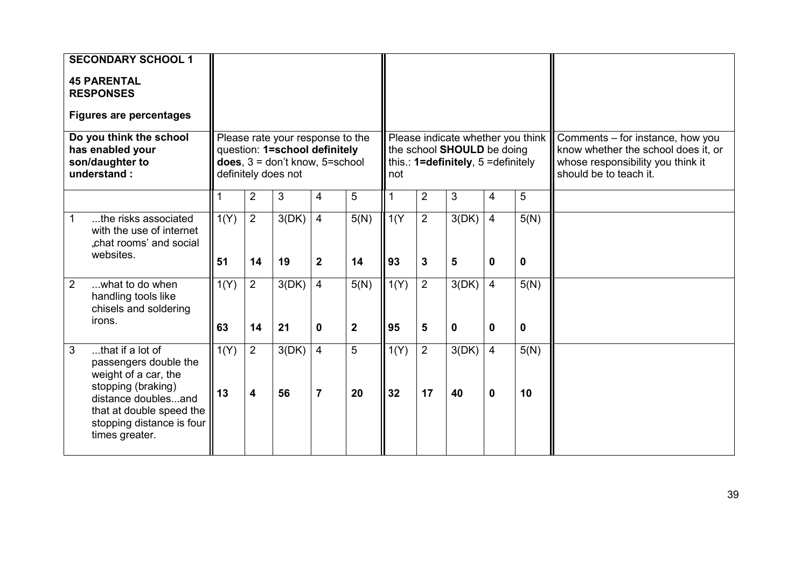| <b>SECONDARY SCHOOL 1</b><br><b>45 PARENTAL</b><br><b>RESPONSES</b><br><b>Figures are percentages</b><br>Do you think the school<br>has enabled your<br>son/daughter to<br>understand:         |            |                                           | Please rate your response to the<br>question: 1=school definitely<br>does, $3 =$ don't know, $5 =$ school<br>definitely does not |                                  |                        | not                     |                                | Please indicate whether you think<br>the school SHOULD be doing<br>this.: $1 =$ definitely, $5 =$ definitely |                                |            | Comments - for instance, how you<br>know whether the school does it, or<br>whose responsibility you think it<br>should be to teach it. |
|------------------------------------------------------------------------------------------------------------------------------------------------------------------------------------------------|------------|-------------------------------------------|----------------------------------------------------------------------------------------------------------------------------------|----------------------------------|------------------------|-------------------------|--------------------------------|--------------------------------------------------------------------------------------------------------------|--------------------------------|------------|----------------------------------------------------------------------------------------------------------------------------------------|
|                                                                                                                                                                                                |            | $\overline{2}$                            | 3                                                                                                                                | $\overline{4}$                   | 5                      | 1                       | $\overline{2}$                 | 3                                                                                                            | 4                              | 5          |                                                                                                                                        |
| the risks associated<br>with the use of internet<br>"chat rooms' and social<br>websites.                                                                                                       | 1(Y)<br>51 | $\overline{2}$<br>14                      | 3(DK)<br>19                                                                                                                      | $\overline{4}$<br>$\mathbf{2}$   | 5(N)<br>14             | $\overline{1(Y)}$<br>93 | $\overline{2}$<br>$\mathbf{3}$ | 3(DK)<br>5                                                                                                   | $\overline{4}$<br>$\mathbf{0}$ | 5(N)<br>0  |                                                                                                                                        |
| $\overline{2}$<br>what to do when<br>handling tools like<br>chisels and soldering<br>irons.                                                                                                    | 1(Y)<br>63 | $2^{\circ}$<br>14                         | 3(DK)<br>21                                                                                                                      | $\overline{4}$<br>$\mathbf{0}$   | 5(N)<br>$\overline{2}$ | 1(Y)<br>95              | $\overline{2}$<br>5            | 3(DK)<br>$\bf{0}$                                                                                            | $\overline{4}$<br>$\mathbf{0}$ | 5(N)<br>0  |                                                                                                                                        |
| 3<br>that if a lot of<br>passengers double the<br>weight of a car, the<br>stopping (braking)<br>distance doublesand<br>that at double speed the<br>stopping distance is four<br>times greater. | 1(Y)<br>13 | $\overline{2}$<br>$\overline{\mathbf{4}}$ | 3(DK)<br>56                                                                                                                      | $\overline{4}$<br>$\overline{7}$ | 5<br>20                | 1(Y)<br>32              | 2<br>17                        | 3(DK)<br>40                                                                                                  | $\overline{4}$<br>$\mathbf 0$  | 5(N)<br>10 |                                                                                                                                        |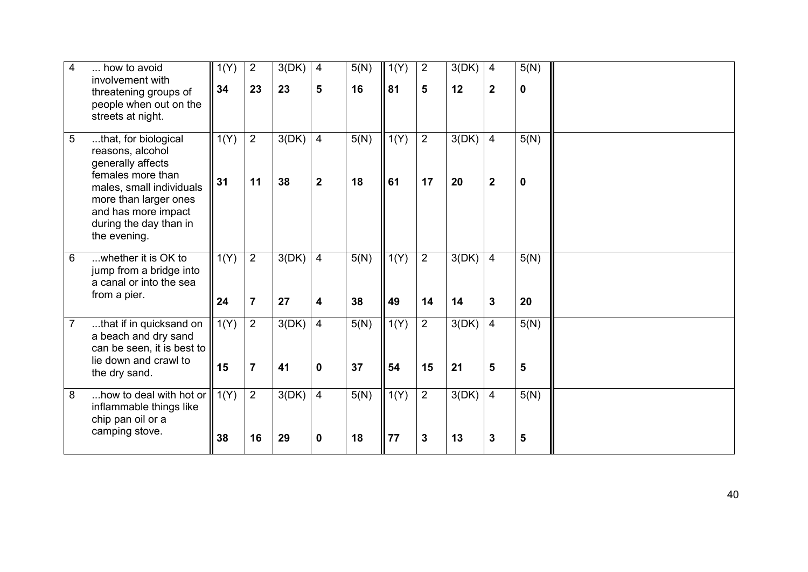| 4              | how to avoid<br>involvement with<br>threatening groups of<br>people when out on the<br>streets at night.                                                                                                 | 1(Y)<br>34 | $\overline{2}$<br>23             | 3(DK)<br>23 | 4<br>5                             | 5(N)<br>16 | 1(Y)<br>81 | $\overline{2}$<br>5  | 3(DK)<br>12 | 4<br>$\overline{2}$              | 5(N)<br>0           |  |
|----------------|----------------------------------------------------------------------------------------------------------------------------------------------------------------------------------------------------------|------------|----------------------------------|-------------|------------------------------------|------------|------------|----------------------|-------------|----------------------------------|---------------------|--|
| 5              | that, for biological<br>reasons, alcohol<br>generally affects<br>females more than<br>males, small individuals<br>more than larger ones<br>and has more impact<br>during the day than in<br>the evening. | 1(Y)<br>31 | $\overline{2}$<br>11             | 3(DK)<br>38 | $\overline{4}$<br>$\boldsymbol{2}$ | 5(N)<br>18 | 1(Y)<br>61 | $\overline{2}$<br>17 | 3(DK)<br>20 | $\overline{4}$<br>$\overline{2}$ | 5(N)<br>$\mathbf 0$ |  |
| 6              | whether it is OK to<br>jump from a bridge into<br>a canal or into the sea<br>from a pier.                                                                                                                | 1(Y)<br>24 | $\overline{2}$<br>$\overline{7}$ | 3(DK)<br>27 | $\overline{4}$<br>4                | 5(N)<br>38 | 1(Y)<br>49 | $\overline{2}$<br>14 | 3(DK)<br>14 | $\overline{4}$<br>$\mathbf{3}$   | 5(N)<br>20          |  |
| $\overline{7}$ | that if in quicksand on<br>a beach and dry sand<br>can be seen, it is best to<br>lie down and crawl to<br>the dry sand.                                                                                  | 1(Y)<br>15 | $\overline{2}$<br>$\overline{7}$ | 3(DK)<br>41 | $\overline{4}$<br>$\mathbf{0}$     | 5(N)<br>37 | 1(Y)<br>54 | $\overline{2}$<br>15 | 3(DK)<br>21 | $\overline{4}$<br>5              | 5(N)<br>5           |  |
| 8              | how to deal with hot or<br>inflammable things like<br>chip pan oil or a<br>camping stove.                                                                                                                | 1(Y)<br>38 | $\overline{2}$<br>16             | 3(DK)<br>29 | $\overline{4}$<br>$\mathbf 0$      | 5(N)<br>18 | 1(Y)<br>77 | $\overline{2}$<br>3  | 3(DK)<br>13 | $\overline{4}$<br>3              | 5(N)<br>5           |  |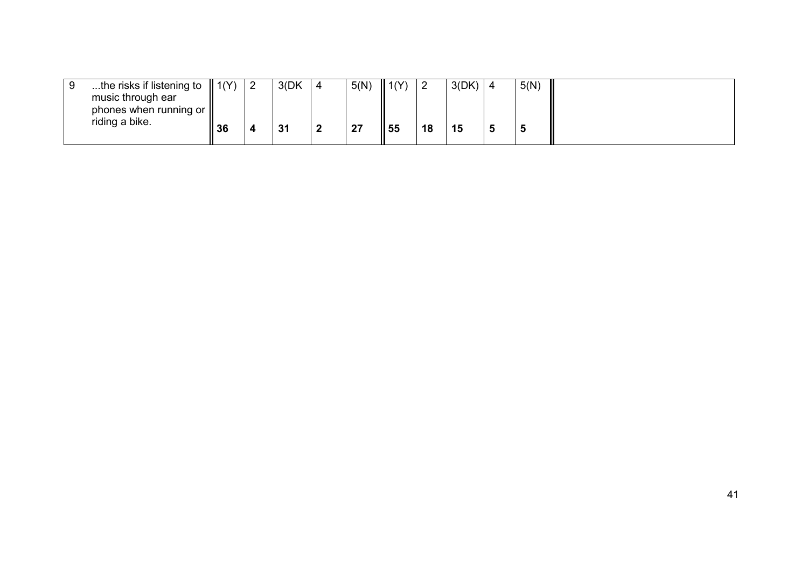| the risks if listening to $\parallel$ 1(Y) |       | 3(DK) | 5(N) | $\parallel$ 1(Y) |    | 3(DK) | 5(N) |  |
|--------------------------------------------|-------|-------|------|------------------|----|-------|------|--|
| music through ear                          |       |       |      |                  |    |       |      |  |
| phones when running or                     |       |       |      |                  |    |       |      |  |
| riding a bike.                             | II 36 | 31    | 27   | 55               | 18 | 15    |      |  |
|                                            |       |       |      |                  |    |       |      |  |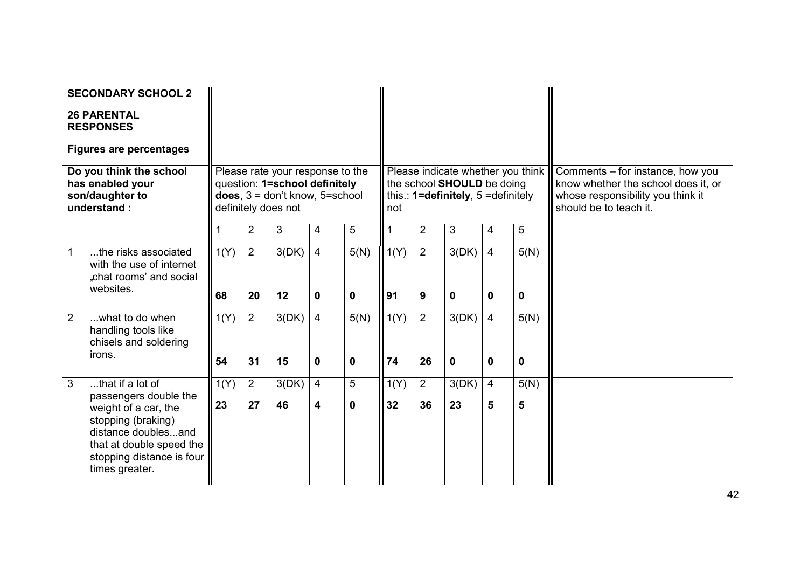|   | <b>SECONDARY SCHOOL 2</b><br><b>26 PARENTAL</b><br><b>RESPONSES</b><br><b>Figures are percentages</b><br>Do you think the school<br>has enabled your<br>son/daughter to<br>understand:    |            |                      | Please rate your response to the<br>question: 1=school definitely<br>does, $3 =$ don't know, $5 =$ school<br>definitely does not |                                           |           | not        |                      | Please indicate whether you think<br>the school SHOULD be doing<br>this.: $1 = \text{definitely}, 5 = \text{definitely}$ |                                |                      | Comments - for instance, how you<br>know whether the school does it, or<br>whose responsibility you think it<br>should be to teach it. |
|---|-------------------------------------------------------------------------------------------------------------------------------------------------------------------------------------------|------------|----------------------|----------------------------------------------------------------------------------------------------------------------------------|-------------------------------------------|-----------|------------|----------------------|--------------------------------------------------------------------------------------------------------------------------|--------------------------------|----------------------|----------------------------------------------------------------------------------------------------------------------------------------|
|   |                                                                                                                                                                                           |            | $\overline{2}$       | 3                                                                                                                                | $\overline{4}$                            | 5         | 1          | $\overline{2}$       | 3                                                                                                                        | $\overline{4}$                 | 5                    |                                                                                                                                        |
|   | the risks associated<br>with the use of internet<br>"chat rooms' and social<br>websites.                                                                                                  | 1(Y)<br>68 | $\overline{2}$<br>20 | 3(DK)<br>12                                                                                                                      | $\overline{4}$<br>$\mathbf 0$             | 5(N)<br>0 | 1(Y)<br>91 | $\overline{2}$<br>9  | 3(DK)<br>$\mathbf 0$                                                                                                     | $\overline{4}$<br>$\mathbf{0}$ | 5(N)<br>$\mathbf{0}$ |                                                                                                                                        |
| 2 | what to do when<br>handling tools like<br>chisels and soldering<br>irons.                                                                                                                 | 1(Y)<br>54 | $\overline{2}$<br>31 | 3(DK)<br>15                                                                                                                      | $\overline{4}$<br>0                       | 5(N)<br>0 | 1(Y)<br>74 | $\overline{2}$<br>26 | 3(DK)<br>$\mathbf 0$                                                                                                     | $\overline{4}$<br>$\mathbf 0$  | 5(N)<br>$\mathbf 0$  |                                                                                                                                        |
| 3 | that if a lot of<br>passengers double the<br>weight of a car, the<br>stopping (braking)<br>distance doublesand<br>that at double speed the<br>stopping distance is four<br>times greater. | 1(Y)<br>23 | $\overline{2}$<br>27 | 3(DK)<br>46                                                                                                                      | $\overline{4}$<br>$\overline{\mathbf{4}}$ | 5<br>0    | 1(Y)<br>32 | $\overline{2}$<br>36 | 3(DK)<br>23                                                                                                              | $\overline{4}$<br>5            | 5(N)<br>5            |                                                                                                                                        |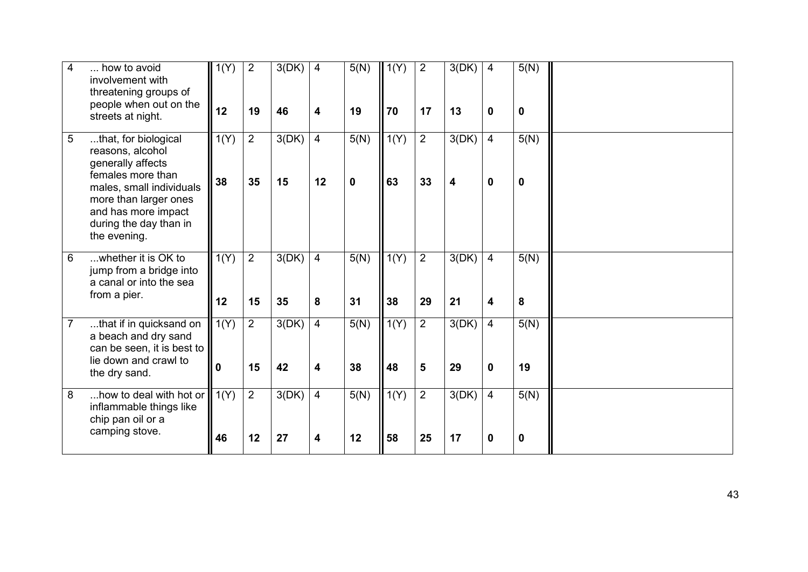| $\overline{\mathbf{4}}$ | how to avoid<br>involvement with<br>threatening groups of<br>people when out on the<br>streets at night.                                                                                                 | 1(Y)<br>12           | $\overline{2}$<br>19 | 3(DK)<br>46 | $\overline{4}$<br>4                       | 5(N)<br>19          | 1(Y)<br>70 | $\overline{2}$<br>17 | 3(DK)<br>13 | 4<br>0                        | 5(N)<br>0  |  |
|-------------------------|----------------------------------------------------------------------------------------------------------------------------------------------------------------------------------------------------------|----------------------|----------------------|-------------|-------------------------------------------|---------------------|------------|----------------------|-------------|-------------------------------|------------|--|
| 5                       | that, for biological<br>reasons, alcohol<br>generally affects<br>females more than<br>males, small individuals<br>more than larger ones<br>and has more impact<br>during the day than in<br>the evening. | 1(Y)<br>38           | $\overline{2}$<br>35 | 3(DK)<br>15 | $\overline{4}$<br>12                      | 5(N)<br>$\mathbf 0$ | 1(Y)<br>63 | $\overline{2}$<br>33 | 3(DK)<br>4  | $\overline{4}$<br>$\mathbf 0$ | 5(N)<br>0  |  |
| 6                       | whether it is OK to<br>jump from a bridge into<br>a canal or into the sea<br>from a pier.                                                                                                                | 1(Y)<br>12           | $\overline{2}$<br>15 | 3(DK)<br>35 | $\overline{4}$<br>8                       | 5(N)<br>31          | 1(Y)<br>38 | $\overline{2}$<br>29 | 3(DK)<br>21 | 4<br>4                        | 5(N)<br>8  |  |
| $\overline{7}$          | that if in quicksand on<br>a beach and dry sand<br>can be seen, it is best to<br>lie down and crawl to<br>the dry sand.                                                                                  | 1(Y)<br>$\mathbf{0}$ | 2<br>15              | 3(DK)<br>42 | $\overline{4}$<br>$\overline{\mathbf{4}}$ | 5(N)<br>38          | 1(Y)<br>48 | $\overline{2}$<br>5  | 3(DK)<br>29 | $\overline{4}$<br>$\mathbf 0$ | 5(N)<br>19 |  |
| 8                       | how to deal with hot or<br>inflammable things like<br>chip pan oil or a<br>camping stove.                                                                                                                | 1(Y)<br>46           | $\overline{2}$<br>12 | 3(DK)<br>27 | $\overline{4}$<br>4                       | 5(N)<br>12          | 1(Y)<br>58 | $\overline{2}$<br>25 | 3(DK)<br>17 | $\overline{4}$<br>0           | 5(N)<br>0  |  |